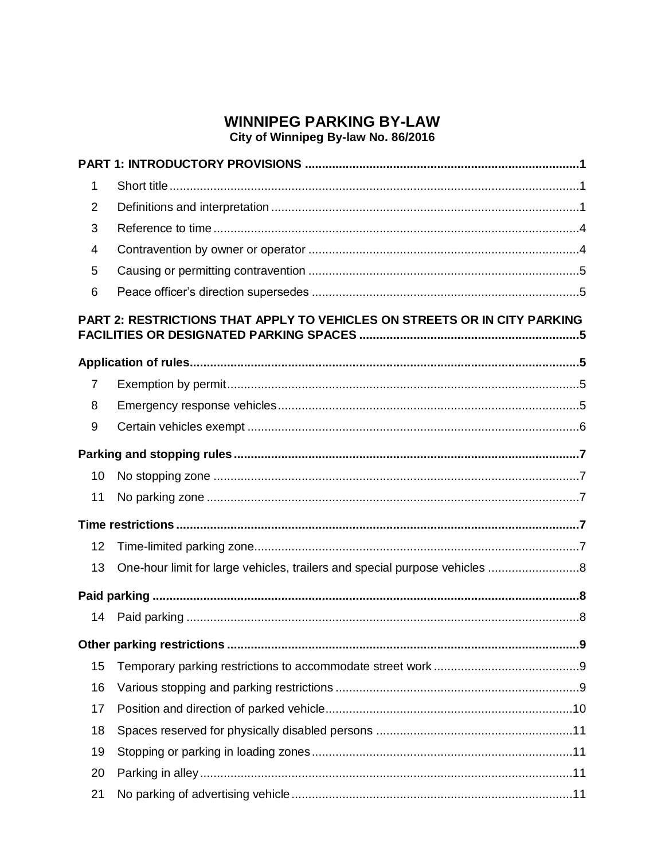# **WINNIPEG PARKING BY-LAW**

# City of Winnipeg By-law No. 86/2016

| $\mathbf{1}$   |                                                                           |
|----------------|---------------------------------------------------------------------------|
| $\overline{2}$ |                                                                           |
| 3              |                                                                           |
| 4              |                                                                           |
| 5              |                                                                           |
| 6              |                                                                           |
|                | PART 2: RESTRICTIONS THAT APPLY TO VEHICLES ON STREETS OR IN CITY PARKING |
|                |                                                                           |
| 7              |                                                                           |
| 8              |                                                                           |
| 9              |                                                                           |
|                |                                                                           |
| 10             |                                                                           |
| 11             |                                                                           |
|                |                                                                           |
| 12             |                                                                           |
| 13             |                                                                           |
|                |                                                                           |
| 14             |                                                                           |
|                |                                                                           |
| 15             |                                                                           |
| 16             |                                                                           |
| 17             |                                                                           |
| 18             |                                                                           |
| 19             |                                                                           |
| 20             |                                                                           |
| 21             |                                                                           |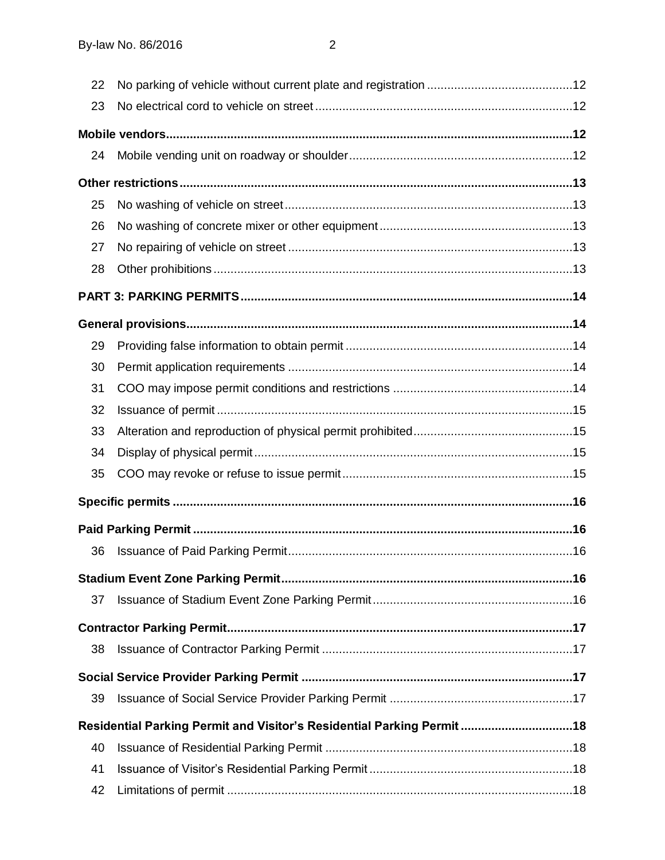| 22 |                                                                         |  |
|----|-------------------------------------------------------------------------|--|
| 23 |                                                                         |  |
|    |                                                                         |  |
| 24 |                                                                         |  |
|    |                                                                         |  |
| 25 |                                                                         |  |
| 26 |                                                                         |  |
| 27 |                                                                         |  |
| 28 |                                                                         |  |
|    |                                                                         |  |
|    |                                                                         |  |
| 29 |                                                                         |  |
| 30 |                                                                         |  |
| 31 |                                                                         |  |
| 32 |                                                                         |  |
| 33 |                                                                         |  |
| 34 |                                                                         |  |
| 35 |                                                                         |  |
|    |                                                                         |  |
|    |                                                                         |  |
| 36 |                                                                         |  |
|    |                                                                         |  |
| 37 |                                                                         |  |
|    |                                                                         |  |
| 38 |                                                                         |  |
|    |                                                                         |  |
| 39 |                                                                         |  |
|    | Residential Parking Permit and Visitor's Residential Parking Permit  18 |  |
| 40 |                                                                         |  |
| 41 |                                                                         |  |
| 42 |                                                                         |  |
|    |                                                                         |  |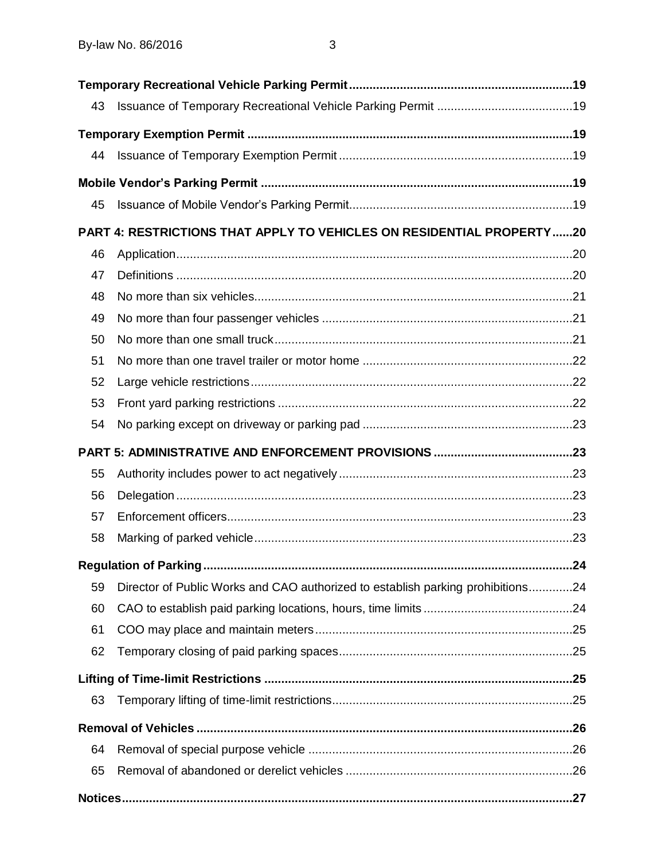| 43 |                                                                                 |  |
|----|---------------------------------------------------------------------------------|--|
|    |                                                                                 |  |
| 44 |                                                                                 |  |
|    |                                                                                 |  |
| 45 |                                                                                 |  |
|    | PART 4: RESTRICTIONS THAT APPLY TO VEHICLES ON RESIDENTIAL PROPERTY20           |  |
| 46 |                                                                                 |  |
| 47 |                                                                                 |  |
| 48 |                                                                                 |  |
| 49 |                                                                                 |  |
| 50 |                                                                                 |  |
| 51 |                                                                                 |  |
| 52 |                                                                                 |  |
| 53 |                                                                                 |  |
| 54 |                                                                                 |  |
|    |                                                                                 |  |
| 55 |                                                                                 |  |
| 56 |                                                                                 |  |
| 57 |                                                                                 |  |
| 58 |                                                                                 |  |
|    |                                                                                 |  |
|    |                                                                                 |  |
| 59 | Director of Public Works and CAO authorized to establish parking prohibitions24 |  |
| 60 |                                                                                 |  |
| 61 |                                                                                 |  |
| 62 |                                                                                 |  |
|    |                                                                                 |  |
| 63 |                                                                                 |  |
|    |                                                                                 |  |
| 64 |                                                                                 |  |
| 65 |                                                                                 |  |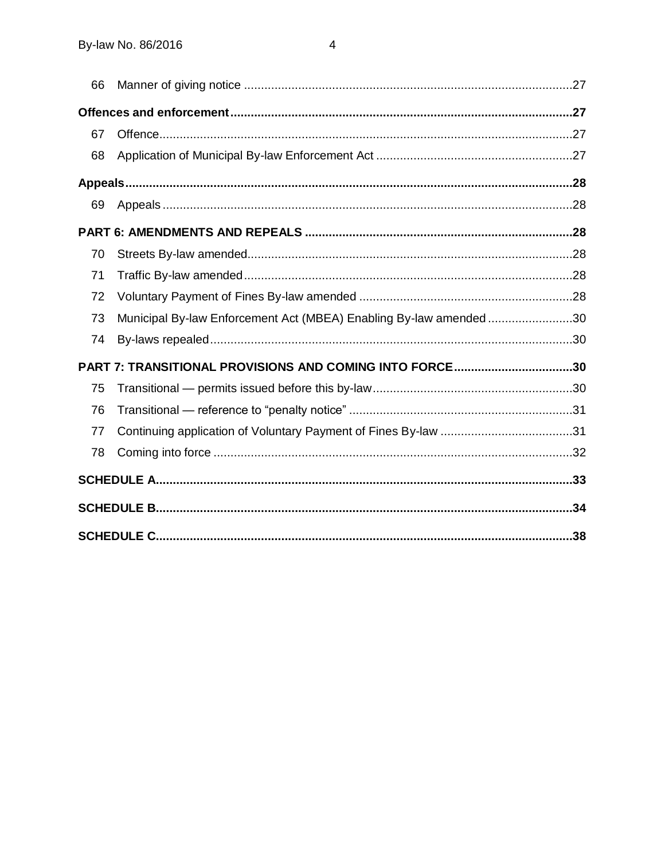| 66 |                                                                    |  |
|----|--------------------------------------------------------------------|--|
|    |                                                                    |  |
| 67 |                                                                    |  |
| 68 |                                                                    |  |
|    |                                                                    |  |
| 69 |                                                                    |  |
|    |                                                                    |  |
| 70 |                                                                    |  |
| 71 |                                                                    |  |
| 72 |                                                                    |  |
| 73 | Municipal By-law Enforcement Act (MBEA) Enabling By-law amended 30 |  |
| 74 |                                                                    |  |
|    | PART 7: TRANSITIONAL PROVISIONS AND COMING INTO FORCE30            |  |
| 75 |                                                                    |  |
| 76 |                                                                    |  |
| 77 |                                                                    |  |
| 78 |                                                                    |  |
|    |                                                                    |  |
|    |                                                                    |  |
|    |                                                                    |  |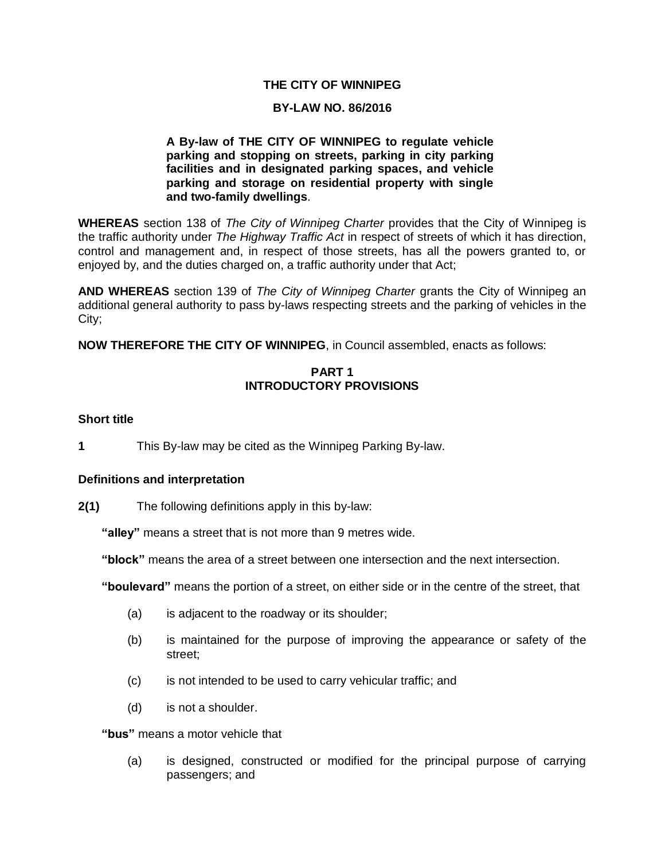## **THE CITY OF WINNIPEG**

#### **BY-LAW NO. 86/2016**

## **A By-law of THE CITY OF WINNIPEG to regulate vehicle parking and stopping on streets, parking in city parking facilities and in designated parking spaces, and vehicle parking and storage on residential property with single and two-family dwellings**.

**WHEREAS** section 138 of *The City of Winnipeg Charter* provides that the City of Winnipeg is the traffic authority under *The Highway Traffic Act* in respect of streets of which it has direction, control and management and, in respect of those streets, has all the powers granted to, or enjoyed by, and the duties charged on, a traffic authority under that Act;

**AND WHEREAS** section 139 of *The City of Winnipeg Charter* grants the City of Winnipeg an additional general authority to pass by-laws respecting streets and the parking of vehicles in the City;

<span id="page-4-0"></span>**NOW THEREFORE THE CITY OF WINNIPEG**, in Council assembled, enacts as follows:

## **PART 1 INTRODUCTORY PROVISIONS**

#### <span id="page-4-1"></span>**1 Short title**

**1** This By-law may be cited as the Winnipeg Parking By-law.

## <span id="page-4-2"></span>**2 Definitions and interpretation**

<span id="page-4-3"></span>**2(1)** The following definitions apply in this by-law:

**"alley"** means a street that is not more than 9 metres wide.

**"block"** means the area of a street between one intersection and the next intersection.

**"boulevard"** means the portion of a street, on either side or in the centre of the street, that

- (a) is adjacent to the roadway or its shoulder;
- (b) is maintained for the purpose of improving the appearance or safety of the street;
- (c) is not intended to be used to carry vehicular traffic; and
- (d) is not a shoulder.

**"bus"** means a motor vehicle that

(a) is designed, constructed or modified for the principal purpose of carrying passengers; and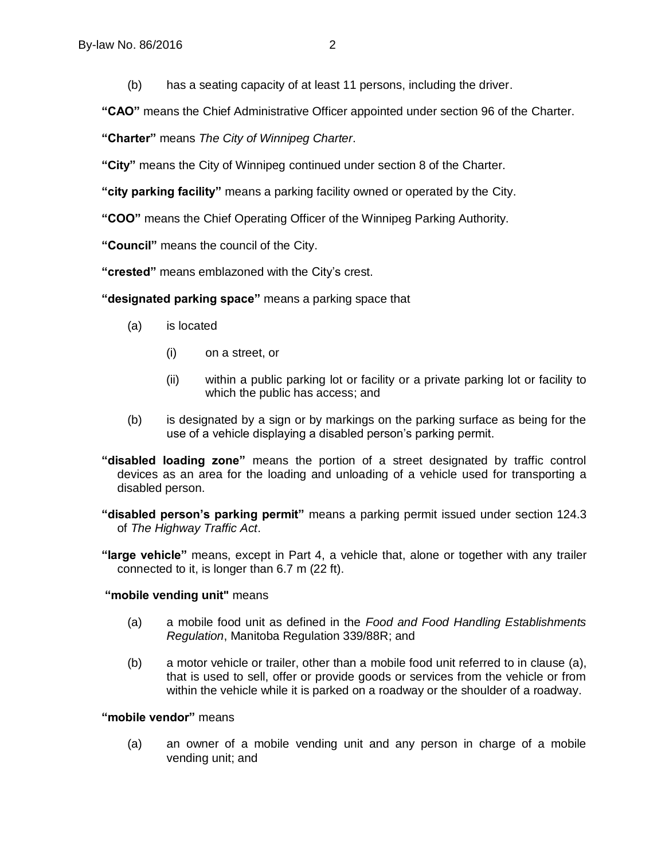(b) has a seating capacity of at least 11 persons, including the driver.

**"CAO"** means the Chief Administrative Officer appointed under section 96 of the Charter.

**"Charter"** means *The City of Winnipeg Charter*.

**"City"** means the City of Winnipeg continued under section 8 of the Charter.

**"city parking facility"** means a parking facility owned or operated by the City.

**"COO"** means the Chief Operating Officer of the Winnipeg Parking Authority.

**"Council"** means the council of the City.

**"crested"** means emblazoned with the City's crest.

**"designated parking space"** means a parking space that

- (a) is located
	- (i) on a street, or
	- (ii) within a public parking lot or facility or a private parking lot or facility to which the public has access; and
- (b) is designated by a sign or by markings on the parking surface as being for the use of a vehicle displaying a disabled person's parking permit.
- **"disabled loading zone"** means the portion of a street designated by traffic control devices as an area for the loading and unloading of a vehicle used for transporting a disabled person.

**"disabled person's parking permit"** means a parking permit issued under section 124.3 of *The Highway Traffic Act*.

**"large vehicle"** means, except in Part 4, a vehicle that, alone or together with any trailer connected to it, is longer than 6.7 m (22 ft).

## **"mobile vending unit"** means

- (a) a mobile food unit as defined in the *Food and Food Handling Establishments Regulation*, Manitoba Regulation 339/88R; and
- (b) a motor vehicle or trailer, other than a mobile food unit referred to in clause (a), that is used to sell, offer or provide goods or services from the vehicle or from within the vehicle while it is parked on a roadway or the shoulder of a roadway.

## **"mobile vendor"** means

(a) an owner of a mobile vending unit and any person in charge of a mobile vending unit; and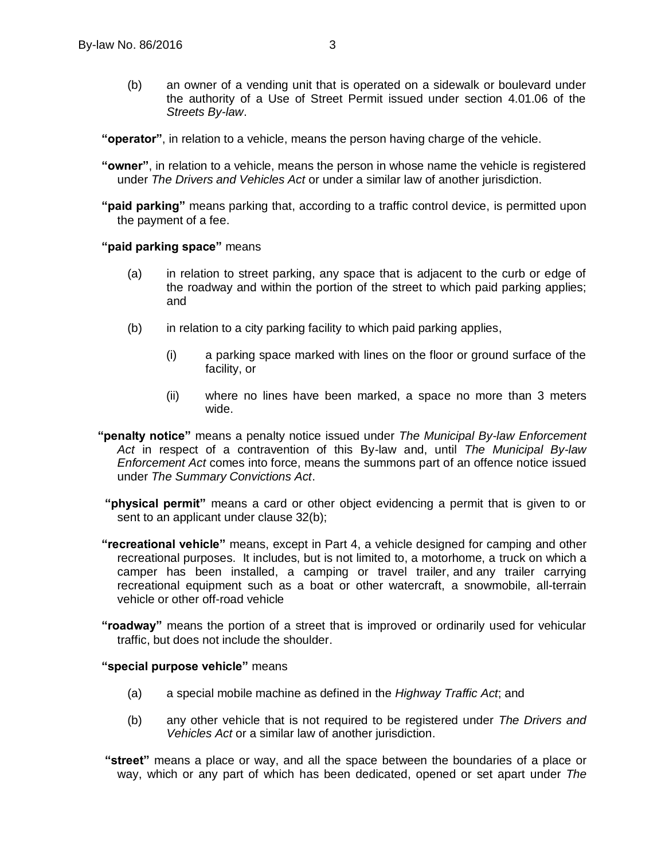- (b) an owner of a vending unit that is operated on a sidewalk or boulevard under the authority of a Use of Street Permit issued under section 4.01.06 of the *Streets By-law*.
- **"operator"**, in relation to a vehicle, means the person having charge of the vehicle.
- **"owner"**, in relation to a vehicle, means the person in whose name the vehicle is registered under *The Drivers and Vehicles Act* or under a similar law of another jurisdiction.
- **"paid parking"** means parking that, according to a traffic control device, is permitted upon the payment of a fee.

#### **"paid parking space"** means

- (a) in relation to street parking, any space that is adjacent to the curb or edge of the roadway and within the portion of the street to which paid parking applies; and
- (b) in relation to a city parking facility to which paid parking applies,
	- (i) a parking space marked with lines on the floor or ground surface of the facility, or
	- (ii) where no lines have been marked, a space no more than 3 meters wide.
- **"penalty notice"** means a penalty notice issued under *The Municipal By-law Enforcement Act* in respect of a contravention of this By-law and, until *The Municipal By-law Enforcement Act* comes into force, means the summons part of an offence notice issued under *The Summary Convictions Act*.
- **"physical permit"** means a card or other object evidencing a permit that is given to or sent to an applicant under clause 32(b);
- **"recreational vehicle"** means, except in Part 4, a vehicle designed for camping and other recreational purposes. It includes, but is not limited to, a motorhome, a truck on which a camper has been installed, a camping or travel trailer, and any trailer carrying recreational equipment such as a boat or other watercraft, a snowmobile, all-terrain vehicle or other off-road vehicle
- **"roadway"** means the portion of a street that is improved or ordinarily used for vehicular traffic, but does not include the shoulder.

#### **"special purpose vehicle"** means

- (a) a special mobile machine as defined in the *Highway Traffic Act*; and
- (b) any other vehicle that is not required to be registered under *The Drivers and Vehicles Act* or a similar law of another jurisdiction.
- **"street"** means a place or way, and all the space between the boundaries of a place or way, which or any part of which has been dedicated, opened or set apart under *The*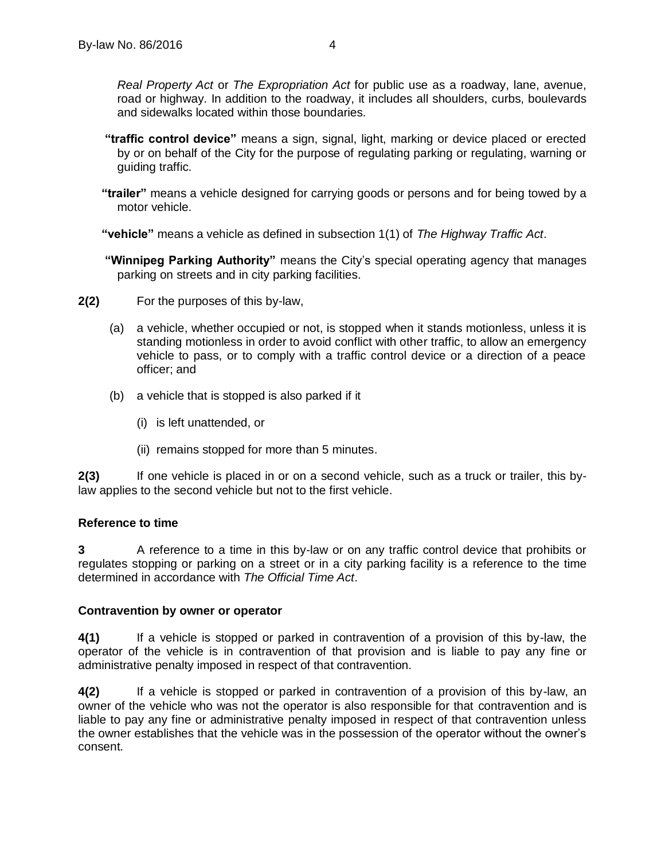*Real Property Act* or *The Expropriation Act* for public use as a roadway, lane, avenue, road or highway. In addition to the roadway, it includes all shoulders, curbs, boulevards and sidewalks located within those boundaries.

- **"traffic control device"** means a sign, signal, light, marking or device placed or erected by or on behalf of the City for the purpose of regulating parking or regulating, warning or guiding traffic.
- **"trailer"** means a vehicle designed for carrying goods or persons and for being towed by a motor vehicle.

**"vehicle"** means a vehicle as defined in subsection 1(1) of *The Highway Traffic Act*.

- **"Winnipeg Parking Authority"** means the City's special operating agency that manages parking on streets and in city parking facilities.
- **2(2)** For the purposes of this by-law,
	- (a) a vehicle, whether occupied or not, is stopped when it stands motionless, unless it is standing motionless in order to avoid conflict with other traffic, to allow an emergency vehicle to pass, or to comply with a traffic control device or a direction of a peace officer; and
	- (b) a vehicle that is stopped is also parked if it
		- (i) is left unattended, or
		- (ii) remains stopped for more than 5 minutes.

**2(3)** If one vehicle is placed in or on a second vehicle, such as a truck or trailer, this bylaw applies to the second vehicle but not to the first vehicle.

#### <span id="page-7-0"></span>**3 Reference to time**

**3** A reference to a time in this by-law or on any traffic control device that prohibits or regulates stopping or parking on a street or in a city parking facility is a reference to the time determined in accordance with *The Official Time Act*.

#### <span id="page-7-1"></span>**4 Contravention by owner or operator**

**4(1)** If a vehicle is stopped or parked in contravention of a provision of this by-law, the operator of the vehicle is in contravention of that provision and is liable to pay any fine or administrative penalty imposed in respect of that contravention.

**4(2)** If a vehicle is stopped or parked in contravention of a provision of this by-law, an owner of the vehicle who was not the operator is also responsible for that contravention and is liable to pay any fine or administrative penalty imposed in respect of that contravention unless the owner establishes that the vehicle was in the possession of the operator without the owner's consent.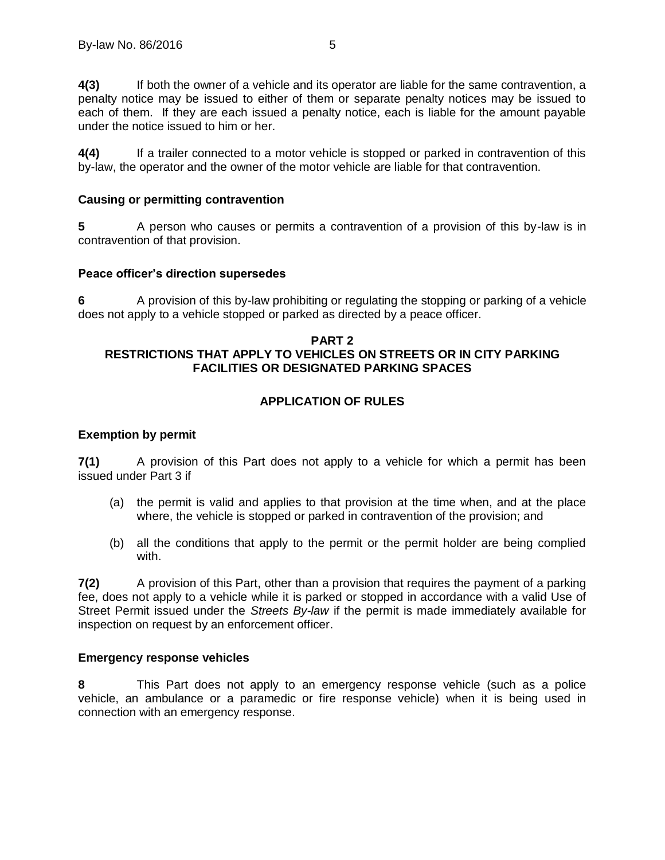**4(3)** If both the owner of a vehicle and its operator are liable for the same contravention, a penalty notice may be issued to either of them or separate penalty notices may be issued to each of them. If they are each issued a penalty notice, each is liable for the amount payable under the notice issued to him or her.

**4(4)** If a trailer connected to a motor vehicle is stopped or parked in contravention of this by-law, the operator and the owner of the motor vehicle are liable for that contravention.

## <span id="page-8-0"></span>**5 Causing or permitting contravention**

**5** A person who causes or permits a contravention of a provision of this by-law is in contravention of that provision.

## <span id="page-8-1"></span>**6 Peace officer's direction supersedes**

**6** A provision of this by-law prohibiting or regulating the stopping or parking of a vehicle does not apply to a vehicle stopped or parked as directed by a peace officer.

## <span id="page-8-2"></span>**PART 2 RESTRICTIONS THAT APPLY TO VEHICLES ON STREETS OR IN CITY PARKING FACILITIES OR DESIGNATED PARKING SPACES**

## **APPLICATION OF RULES**

## <span id="page-8-4"></span><span id="page-8-3"></span>**7 Exemption by permit**

**7(1)** A provision of this Part does not apply to a vehicle for which a permit has been issued under Part 3 if

- (a) the permit is valid and applies to that provision at the time when, and at the place where, the vehicle is stopped or parked in contravention of the provision; and
- (b) all the conditions that apply to the permit or the permit holder are being complied with.

**7(2)** A provision of this Part, other than a provision that requires the payment of a parking fee, does not apply to a vehicle while it is parked or stopped in accordance with a valid Use of Street Permit issued under the *Streets By-law* if the permit is made immediately available for inspection on request by an enforcement officer.

## <span id="page-8-5"></span>**8 Emergency response vehicles**

**8** This Part does not apply to an emergency response vehicle (such as a police vehicle, an ambulance or a paramedic or fire response vehicle) when it is being used in connection with an emergency response.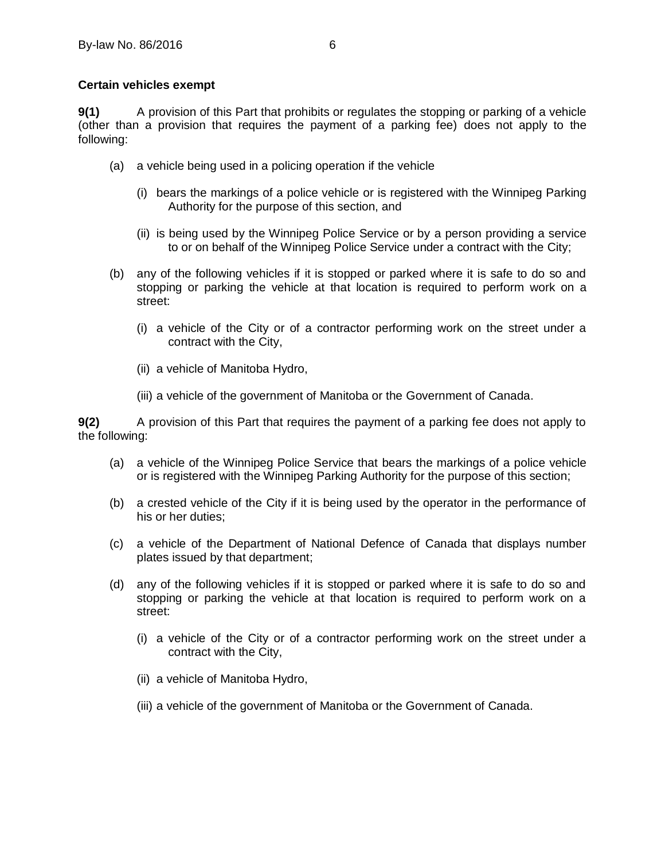## <span id="page-9-0"></span>**9 Certain vehicles exempt**

**9(1)** A provision of this Part that prohibits or regulates the stopping or parking of a vehicle (other than a provision that requires the payment of a parking fee) does not apply to the following:

- (a) a vehicle being used in a policing operation if the vehicle
	- (i) bears the markings of a police vehicle or is registered with the Winnipeg Parking Authority for the purpose of this section, and
	- (ii) is being used by the Winnipeg Police Service or by a person providing a service to or on behalf of the Winnipeg Police Service under a contract with the City;
- (b) any of the following vehicles if it is stopped or parked where it is safe to do so and stopping or parking the vehicle at that location is required to perform work on a street:
	- (i) a vehicle of the City or of a contractor performing work on the street under a contract with the City,
	- (ii) a vehicle of Manitoba Hydro,
	- (iii) a vehicle of the government of Manitoba or the Government of Canada.

**9(2)** A provision of this Part that requires the payment of a parking fee does not apply to the following:

- (a) a vehicle of the Winnipeg Police Service that bears the markings of a police vehicle or is registered with the Winnipeg Parking Authority for the purpose of this section;
- (b) a crested vehicle of the City if it is being used by the operator in the performance of his or her duties;
- (c) a vehicle of the Department of National Defence of Canada that displays number plates issued by that department;
- (d) any of the following vehicles if it is stopped or parked where it is safe to do so and stopping or parking the vehicle at that location is required to perform work on a street:
	- (i) a vehicle of the City or of a contractor performing work on the street under a contract with the City,
	- (ii) a vehicle of Manitoba Hydro,
	- (iii) a vehicle of the government of Manitoba or the Government of Canada.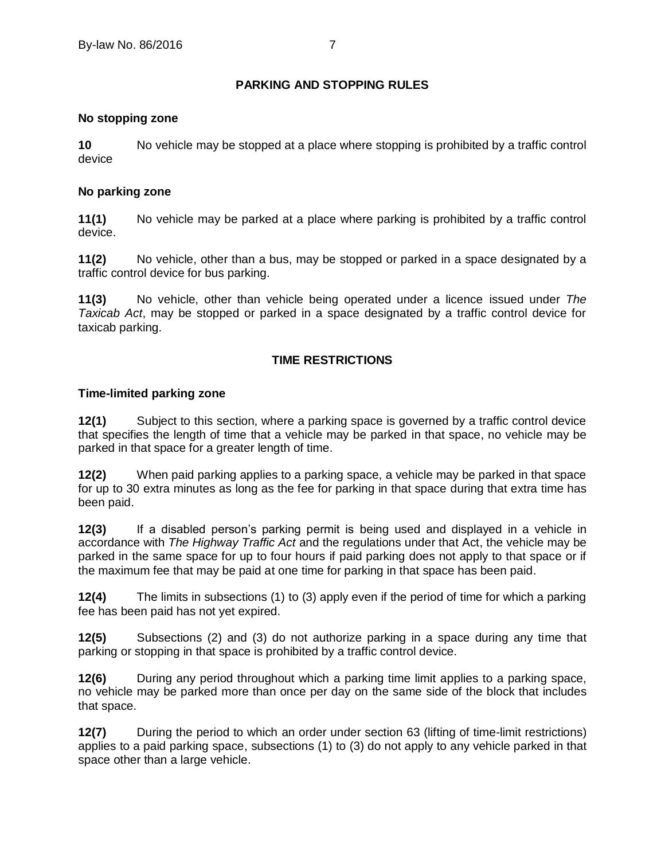## **PARKING AND STOPPING RULES**

## <span id="page-10-1"></span><span id="page-10-0"></span>**10 No stopping zone**

**10** No vehicle may be stopped at a place where stopping is prohibited by a traffic control device

## <span id="page-10-2"></span>**11 No parking zone**

**11(1)** No vehicle may be parked at a place where parking is prohibited by a traffic control device.

**11(2)** No vehicle, other than a bus, may be stopped or parked in a space designated by a traffic control device for bus parking.

**11(3)** No vehicle, other than vehicle being operated under a licence issued under *The Taxicab Act*, may be stopped or parked in a space designated by a traffic control device for taxicab parking.

## **TIME RESTRICTIONS**

## <span id="page-10-4"></span><span id="page-10-3"></span>**12 Time-limited parking zone**

<span id="page-10-5"></span>**12(1)** Subject to this section, where a parking space is governed by a traffic control device that specifies the length of time that a vehicle may be parked in that space, no vehicle may be parked in that space for a greater length of time.

<span id="page-10-6"></span>**12(2)** When paid parking applies to a parking space, a vehicle may be parked in that space for up to 30 extra minutes as long as the fee for parking in that space during that extra time has been paid.

**12(3)** If a disabled person's parking permit is being used and displayed in a vehicle in accordance with *The Highway Traffic Act* and the regulations under that Act, the vehicle may be parked in the same space for up to four hours if paid parking does not apply to that space or if the maximum fee that may be paid at one time for parking in that space has been paid.

**12(4)** The limits in subsections (1) to (3) apply even if the period of time for which a parking fee has been paid has not yet expired.

**12(5)** Subsections (2) and (3) do not authorize parking in a space during any time that parking or stopping in that space is prohibited by a traffic control device.

**12(6)** During any period throughout which a parking time limit applies to a parking space, no vehicle may be parked more than once per day on the same side of the block that includes that space.

**12(7)** During the period to which an order under section [63](#page-28-3) (lifting of time-limit restrictions) applies to a paid parking space, subsections (1) to (3) do not apply to any vehicle parked in that space other than a large vehicle.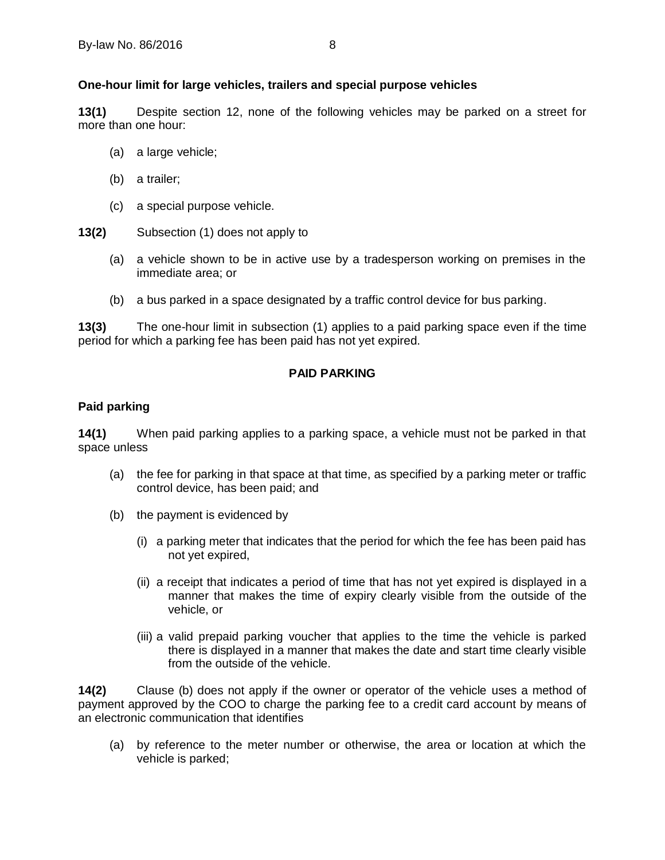## <span id="page-11-0"></span>**13 One-hour limit for large vehicles, trailers and special purpose vehicles**

**13(1)** Despite section 12, none of the following vehicles may be parked on a street for more than one hour:

- (a) a large vehicle;
- (b) a trailer;
- (c) a special purpose vehicle.
- **13(2)** Subsection (1) does not apply to
	- (a) a vehicle shown to be in active use by a tradesperson working on premises in the immediate area; or
	- (b) a bus parked in a space designated by a traffic control device for bus parking.

**13(3)** The one-hour limit in subsection (1) applies to a paid parking space even if the time period for which a parking fee has been paid has not yet expired.

## **PAID PARKING**

## <span id="page-11-2"></span><span id="page-11-1"></span>**14 Paid parking**

**14(1)** When paid parking applies to a parking space, a vehicle must not be parked in that space unless

- (a) the fee for parking in that space at that time, as specified by a parking meter or traffic control device, has been paid; and
- (b) the payment is evidenced by
	- (i) a parking meter that indicates that the period for which the fee has been paid has not yet expired,
	- (ii) a receipt that indicates a period of time that has not yet expired is displayed in a manner that makes the time of expiry clearly visible from the outside of the vehicle, or
	- (iii) a valid prepaid parking voucher that applies to the time the vehicle is parked there is displayed in a manner that makes the date and start time clearly visible from the outside of the vehicle.

**14(2)** Clause (b) does not apply if the owner or operator of the vehicle uses a method of payment approved by the COO to charge the parking fee to a credit card account by means of an electronic communication that identifies

(a) by reference to the meter number or otherwise, the area or location at which the vehicle is parked;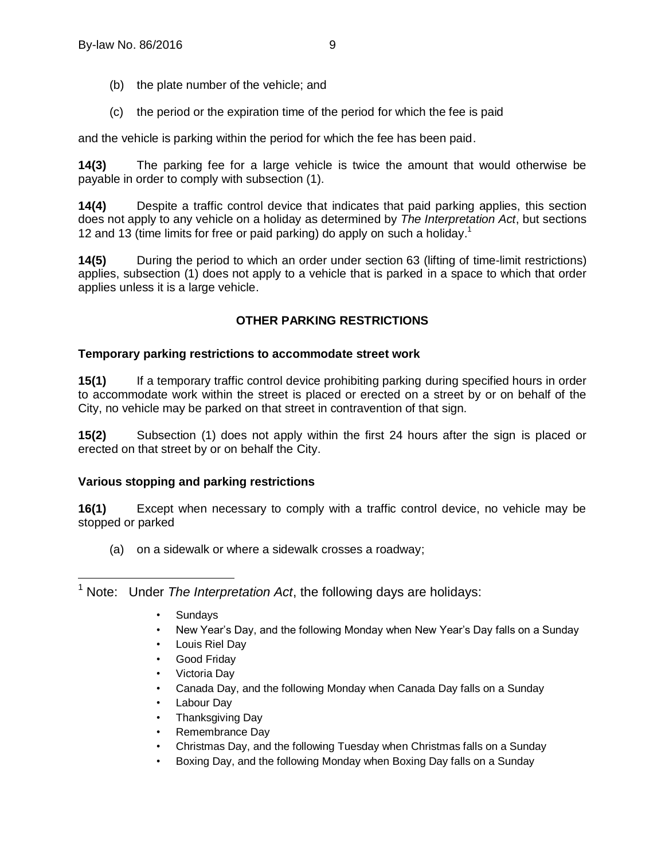- (b) the plate number of the vehicle; and
- (c) the period or the expiration time of the period for which the fee is paid

and the vehicle is parking within the period for which the fee has been paid.

**14(3)** The parking fee for a large vehicle is twice the amount that would otherwise be payable in order to comply with subsection (1).

**14(4)** Despite a traffic control device that indicates that paid parking applies, this section does not apply to any vehicle on a holiday as determined by *The Interpretation Act*, but sections 12 and 13 (time limits for free or paid parking) do apply on such a holiday.<sup>1</sup>

**14(5)** During the period to which an order under section [63](#page-28-3) (lifting of time-limit restrictions) applies, subsection (1) does not apply to a vehicle that is parked in a space to which that order applies unless it is a large vehicle.

## **OTHER PARKING RESTRICTIONS**

## <span id="page-12-1"></span><span id="page-12-0"></span>**15 Temporary parking restrictions to accommodate street work**

**15(1)** If a temporary traffic control device prohibiting parking during specified hours in order to accommodate work within the street is placed or erected on a street by or on behalf of the City, no vehicle may be parked on that street in contravention of that sign.

**15(2)** Subsection (1) does not apply within the first 24 hours after the sign is placed or erected on that street by or on behalf the City.

## <span id="page-12-2"></span>**16 Various stopping and parking restrictions**

**16(1)** Except when necessary to comply with a traffic control device, no vehicle may be stopped or parked

(a) on a sidewalk or where a sidewalk crosses a roadway;

 $\overline{a}$ <sup>1</sup> Note: Under *The Interpretation Act*, the following days are holidays:

- Sundays
- New Year's Day, and the following Monday when New Year's Day falls on a Sunday
- Louis Riel Day
- Good Fridav
- Victoria Day
- Canada Day, and the following Monday when Canada Day falls on a Sunday
- Labour Day
- Thanksgiving Day
- Remembrance Day
- Christmas Day, and the following Tuesday when Christmas falls on a Sunday
- Boxing Day, and the following Monday when Boxing Day falls on a Sunday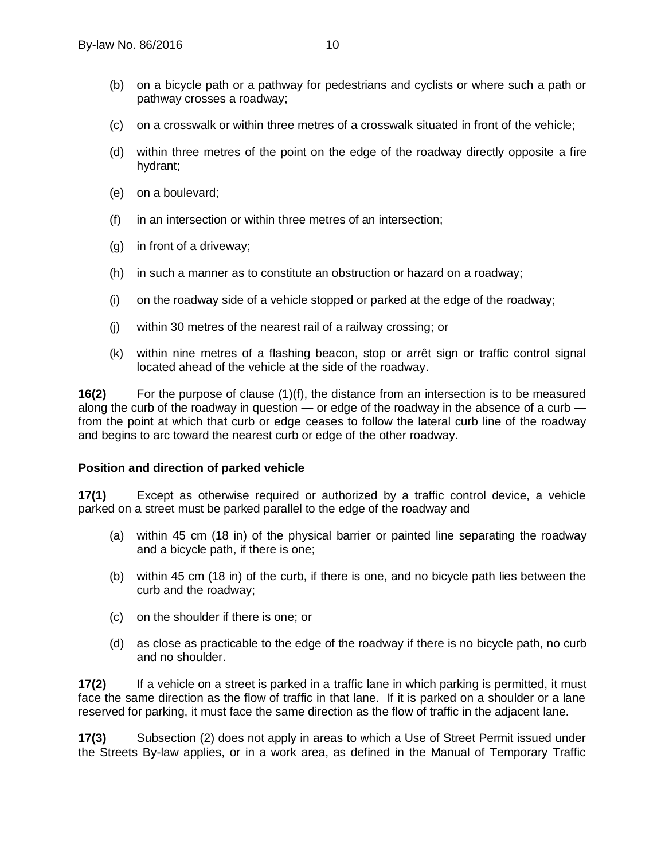- (b) on a bicycle path or a pathway for pedestrians and cyclists or where such a path or pathway crosses a roadway;
- (c) on a crosswalk or within three metres of a crosswalk situated in front of the vehicle;
- (d) within three metres of the point on the edge of the roadway directly opposite a fire hydrant;
- (e) on a boulevard;
- (f) in an intersection or within three metres of an intersection;
- (g) in front of a driveway;
- (h) in such a manner as to constitute an obstruction or hazard on a roadway;
- (i) on the roadway side of a vehicle stopped or parked at the edge of the roadway;
- (j) within 30 metres of the nearest rail of a railway crossing; or
- (k) within nine metres of a flashing beacon, stop or arrêt sign or traffic control signal located ahead of the vehicle at the side of the roadway.

<span id="page-13-1"></span>**16(2)** For the purpose of clause (1)(f), the distance from an intersection is to be measured along the curb of the roadway in question — or edge of the roadway in the absence of a curb from the point at which that curb or edge ceases to follow the lateral curb line of the roadway and begins to arc toward the nearest curb or edge of the other roadway.

#### <span id="page-13-0"></span>**17 Position and direction of parked vehicle**

**17(1)** Except as otherwise required or authorized by a traffic control device, a vehicle parked on a street must be parked parallel to the edge of the roadway and

- (a) within 45 cm (18 in) of the physical barrier or painted line separating the roadway and a bicycle path, if there is one;
- (b) within 45 cm (18 in) of the curb, if there is one, and no bicycle path lies between the curb and the roadway;
- (c) on the shoulder if there is one; or
- (d) as close as practicable to the edge of the roadway if there is no bicycle path, no curb and no shoulder.

**17(2)** If a vehicle on a street is parked in a traffic lane in which parking is permitted, it must face the same direction as the flow of traffic in that lane. If it is parked on a shoulder or a lane reserved for parking, it must face the same direction as the flow of traffic in the adjacent lane.

**17(3)** Subsection (2) does not apply in areas to which a Use of Street Permit issued under the Streets By-law applies, or in a work area, as defined in the Manual of Temporary Traffic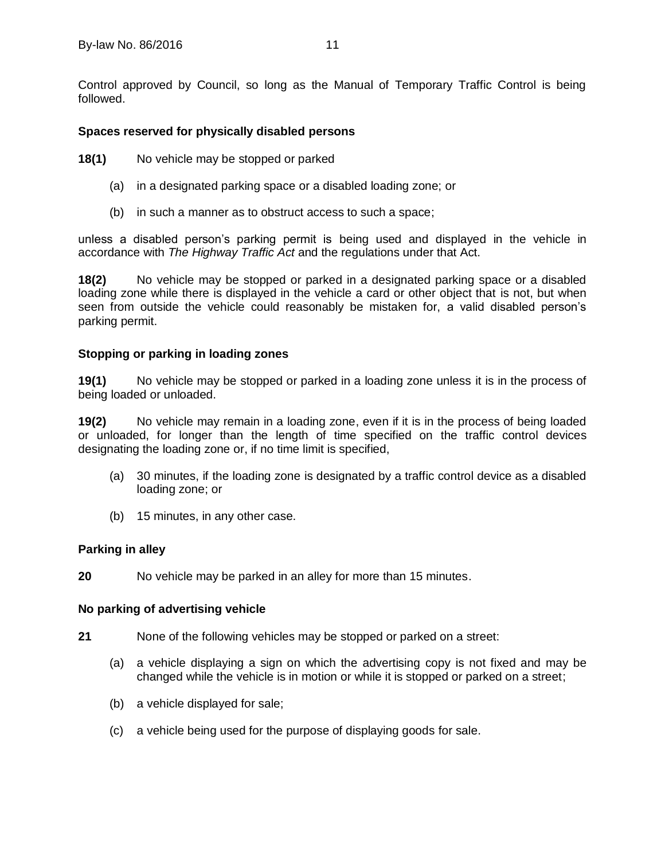Control approved by Council, so long as the Manual of Temporary Traffic Control is being followed.

## <span id="page-14-0"></span>**18 Spaces reserved for physically disabled persons**

**18(1)** No vehicle may be stopped or parked

- (a) in a designated parking space or a disabled loading zone; or
- (b) in such a manner as to obstruct access to such a space;

unless a disabled person's parking permit is being used and displayed in the vehicle in accordance with *The Highway Traffic Act* and the regulations under that Act.

**18(2)** No vehicle may be stopped or parked in a designated parking space or a disabled loading zone while there is displayed in the vehicle a card or other object that is not, but when seen from outside the vehicle could reasonably be mistaken for, a valid disabled person's parking permit.

## <span id="page-14-1"></span>**19 Stopping or parking in loading zones**

**19(1)** No vehicle may be stopped or parked in a loading zone unless it is in the process of being loaded or unloaded.

**19(2)** No vehicle may remain in a loading zone, even if it is in the process of being loaded or unloaded, for longer than the length of time specified on the traffic control devices designating the loading zone or, if no time limit is specified,

- (a) 30 minutes, if the loading zone is designated by a traffic control device as a disabled loading zone; or
- (b) 15 minutes, in any other case.

#### <span id="page-14-2"></span>**20 Parking in alley**

**20** No vehicle may be parked in an alley for more than 15 minutes.

#### <span id="page-14-3"></span>**21 No parking of advertising vehicle**

- **21** None of the following vehicles may be stopped or parked on a street:
	- (a) a vehicle displaying a sign on which the advertising copy is not fixed and may be changed while the vehicle is in motion or while it is stopped or parked on a street;
	- (b) a vehicle displayed for sale;
	- (c) a vehicle being used for the purpose of displaying goods for sale.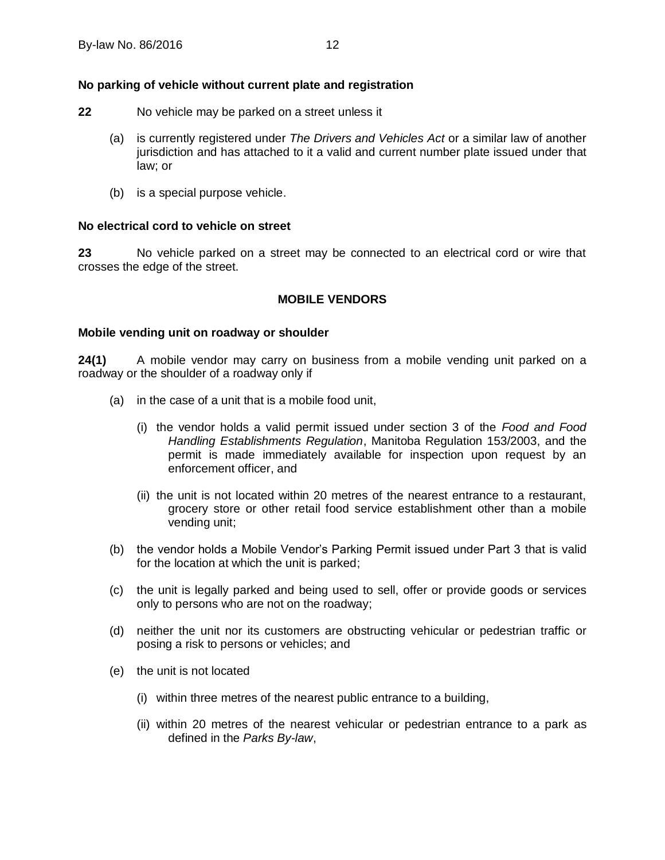## <span id="page-15-0"></span>**22 No parking of vehicle without current plate and registration**

- **22** No vehicle may be parked on a street unless it
	- (a) is currently registered under *The Drivers and Vehicles Act* or a similar law of another jurisdiction and has attached to it a valid and current number plate issued under that law; or
	- (b) is a special purpose vehicle.

## <span id="page-15-1"></span>**23 No electrical cord to vehicle on street**

<span id="page-15-2"></span>**23** No vehicle parked on a street may be connected to an electrical cord or wire that crosses the edge of the street.

## **MOBILE VENDORS**

## <span id="page-15-3"></span>**24 Mobile vending unit on roadway or shoulder**

**24(1)** A mobile vendor may carry on business from a mobile vending unit parked on a roadway or the shoulder of a roadway only if

- (a) in the case of a unit that is a mobile food unit,
	- (i) the vendor holds a valid permit issued under section 3 of the *Food and Food Handling Establishments Regulation*, Manitoba Regulation 153/2003, and the permit is made immediately available for inspection upon request by an enforcement officer, and
	- (ii) the unit is not located within 20 metres of the nearest entrance to a restaurant, grocery store or other retail food service establishment other than a mobile vending unit;
- (b) the vendor holds a Mobile Vendor's Parking Permit issued under Part 3 that is valid for the location at which the unit is parked;
- (c) the unit is legally parked and being used to sell, offer or provide goods or services only to persons who are not on the roadway;
- (d) neither the unit nor its customers are obstructing vehicular or pedestrian traffic or posing a risk to persons or vehicles; and
- (e) the unit is not located
	- (i) within three metres of the nearest public entrance to a building,
	- (ii) within 20 metres of the nearest vehicular or pedestrian entrance to a park as defined in the *Parks By-law*,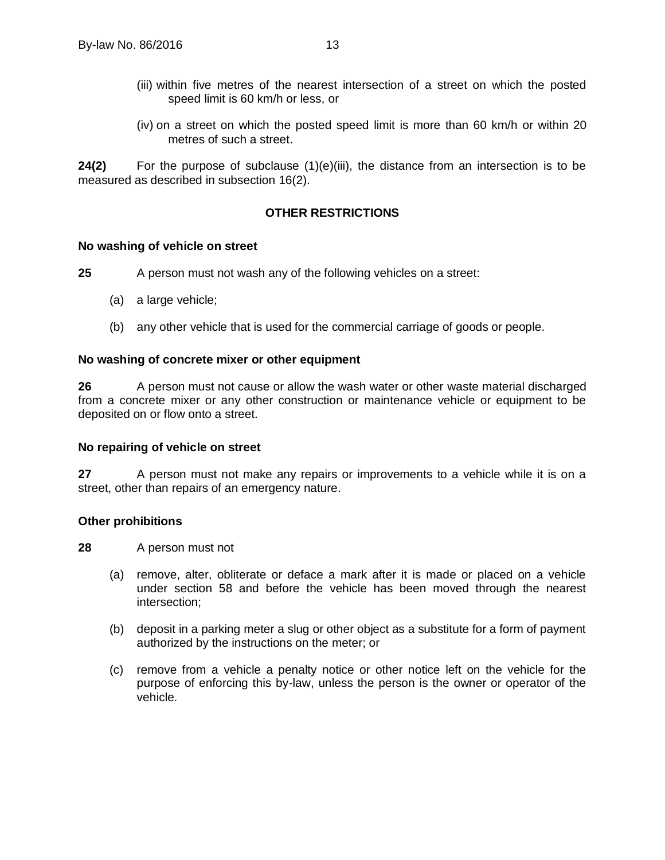- (iii) within five metres of the nearest intersection of a street on which the posted speed limit is 60 km/h or less, or
- (iv) on a street on which the posted speed limit is more than 60 km/h or within 20 metres of such a street.

<span id="page-16-0"></span>**24(2)** For the purpose of subclause (1)(e)(iii), the distance from an intersection is to be measured as described in subsection [16\(2\).](#page-13-1)

## **OTHER RESTRICTIONS**

#### <span id="page-16-1"></span>**25 No washing of vehicle on street**

**25** A person must not wash any of the following vehicles on a street:

- (a) a large vehicle;
- (b) any other vehicle that is used for the commercial carriage of goods or people.

#### <span id="page-16-2"></span>**26 No washing of concrete mixer or other equipment**

**26** A person must not cause or allow the wash water or other waste material discharged from a concrete mixer or any other construction or maintenance vehicle or equipment to be deposited on or flow onto a street.

#### <span id="page-16-3"></span>**27 No repairing of vehicle on street**

**27** A person must not make any repairs or improvements to a vehicle while it is on a street, other than repairs of an emergency nature.

#### <span id="page-16-4"></span>**28 Other prohibitions**

**28** A person must not

- (a) remove, alter, obliterate or deface a mark after it is made or placed on a vehicle under section [58](#page-26-5) and before the vehicle has been moved through the nearest intersection;
- (b) deposit in a parking meter a slug or other object as a substitute for a form of payment authorized by the instructions on the meter; or
- (c) remove from a vehicle a penalty notice or other notice left on the vehicle for the purpose of enforcing this by-law, unless the person is the owner or operator of the vehicle.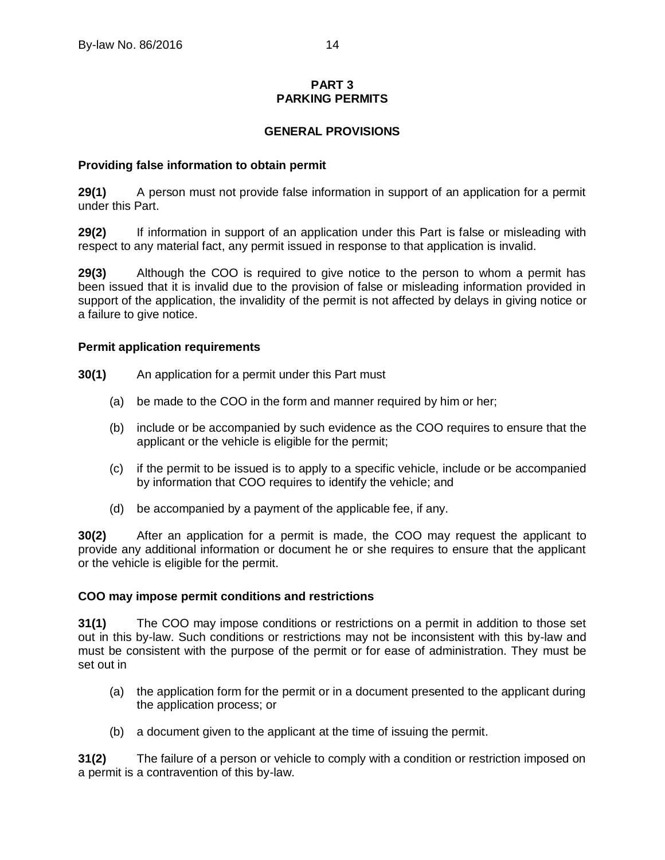## **PART 3 PARKING PERMITS**

## **GENERAL PROVISIONS**

## <span id="page-17-2"></span><span id="page-17-1"></span><span id="page-17-0"></span>**29 Providing false information to obtain permit**

**29(1)** A person must not provide false information in support of an application for a permit under this Part.

**29(2)** If information in support of an application under this Part is false or misleading with respect to any material fact, any permit issued in response to that application is invalid.

**29(3)** Although the COO is required to give notice to the person to whom a permit has been issued that it is invalid due to the provision of false or misleading information provided in support of the application, the invalidity of the permit is not affected by delays in giving notice or a failure to give notice.

## <span id="page-17-3"></span>**30 Permit application requirements**

- **30(1)** An application for a permit under this Part must
	- (a) be made to the COO in the form and manner required by him or her;
	- (b) include or be accompanied by such evidence as the COO requires to ensure that the applicant or the vehicle is eligible for the permit;
	- (c) if the permit to be issued is to apply to a specific vehicle, include or be accompanied by information that COO requires to identify the vehicle; and
	- (d) be accompanied by a payment of the applicable fee, if any.

**30(2)** After an application for a permit is made, the COO may request the applicant to provide any additional information or document he or she requires to ensure that the applicant or the vehicle is eligible for the permit.

#### <span id="page-17-4"></span>**31 COO may impose permit conditions and restrictions**

**31(1)** The COO may impose conditions or restrictions on a permit in addition to those set out in this by-law. Such conditions or restrictions may not be inconsistent with this by-law and must be consistent with the purpose of the permit or for ease of administration. They must be set out in

- (a) the application form for the permit or in a document presented to the applicant during the application process; or
- (b) a document given to the applicant at the time of issuing the permit.

**31(2)** The failure of a person or vehicle to comply with a condition or restriction imposed on a permit is a contravention of this by-law.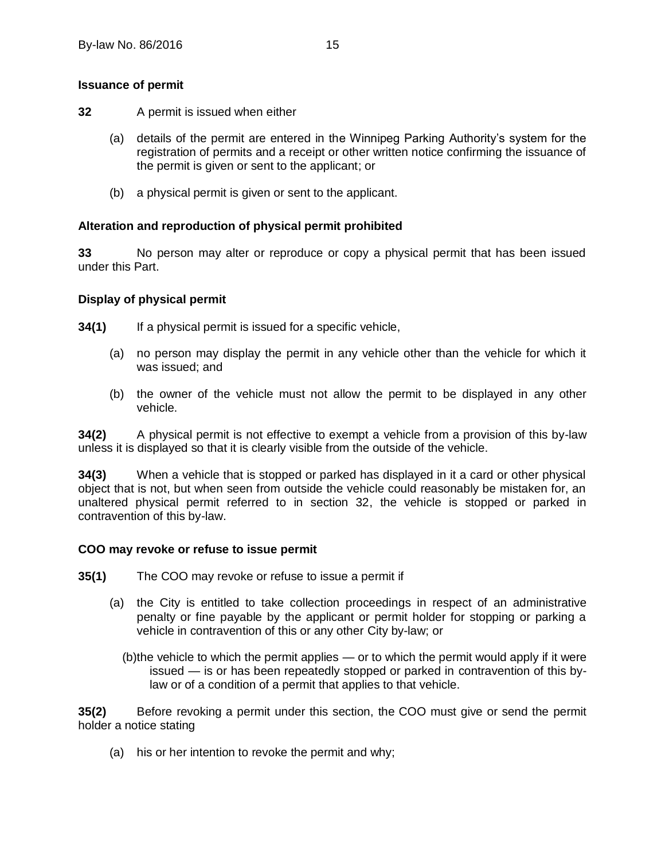## <span id="page-18-0"></span>**32 Issuance of permit**

- **32** A permit is issued when either
	- (a) details of the permit are entered in the Winnipeg Parking Authority's system for the registration of permits and a receipt or other written notice confirming the issuance of the permit is given or sent to the applicant; or
	- (b) a physical permit is given or sent to the applicant.

## <span id="page-18-1"></span>**33 Alteration and reproduction of physical permit prohibited**

**33** No person may alter or reproduce or copy a physical permit that has been issued under this Part.

## <span id="page-18-2"></span>**34 Display of physical permit**

**34(1)** If a physical permit is issued for a specific vehicle,

- (a) no person may display the permit in any vehicle other than the vehicle for which it was issued; and
- (b) the owner of the vehicle must not allow the permit to be displayed in any other vehicle.

**34(2)** A physical permit is not effective to exempt a vehicle from a provision of this by-law unless it is displayed so that it is clearly visible from the outside of the vehicle.

**34(3)** When a vehicle that is stopped or parked has displayed in it a card or other physical object that is not, but when seen from outside the vehicle could reasonably be mistaken for, an unaltered physical permit referred to in section 32, the vehicle is stopped or parked in contravention of this by-law.

#### <span id="page-18-3"></span>**35 COO may revoke or refuse to issue permit**

- **35(1)** The COO may revoke or refuse to issue a permit if
	- (a) the City is entitled to take collection proceedings in respect of an administrative penalty or fine payable by the applicant or permit holder for stopping or parking a vehicle in contravention of this or any other City by-law; or
		- (b)the vehicle to which the permit applies or to which the permit would apply if it were issued — is or has been repeatedly stopped or parked in contravention of this bylaw or of a condition of a permit that applies to that vehicle.

**35(2)** Before revoking a permit under this section, the COO must give or send the permit holder a notice stating

(a) his or her intention to revoke the permit and why;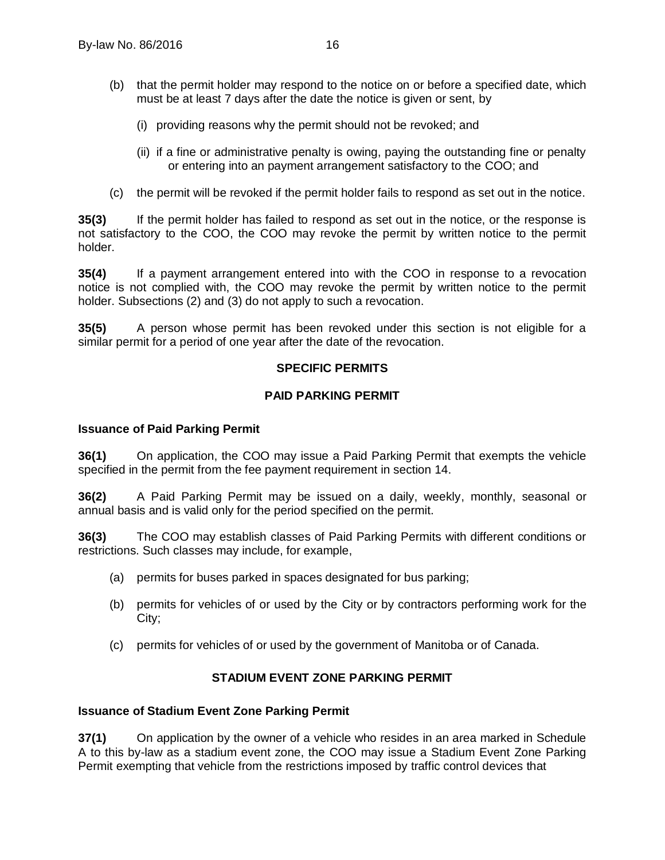- (b) that the permit holder may respond to the notice on or before a specified date, which must be at least 7 days after the date the notice is given or sent, by
	- (i) providing reasons why the permit should not be revoked; and
	- (ii) if a fine or administrative penalty is owing, paying the outstanding fine or penalty or entering into an payment arrangement satisfactory to the COO; and
- (c) the permit will be revoked if the permit holder fails to respond as set out in the notice.

**35(3)** If the permit holder has failed to respond as set out in the notice, or the response is not satisfactory to the COO, the COO may revoke the permit by written notice to the permit holder.

**35(4)** If a payment arrangement entered into with the COO in response to a revocation notice is not complied with, the COO may revoke the permit by written notice to the permit holder. Subsections (2) and (3) do not apply to such a revocation.

<span id="page-19-0"></span>**35(5)** A person whose permit has been revoked under this section is not eligible for a similar permit for a period of one year after the date of the revocation.

#### **SPECIFIC PERMITS**

#### **PAID PARKING PERMIT**

#### <span id="page-19-2"></span><span id="page-19-1"></span>**36 Issuance of Paid Parking Permit**

**36(1)** On application, the COO may issue a Paid Parking Permit that exempts the vehicle specified in the permit from the fee payment requirement in section [14.](#page-11-2)

**36(2)** A Paid Parking Permit may be issued on a daily, weekly, monthly, seasonal or annual basis and is valid only for the period specified on the permit.

**36(3)** The COO may establish classes of Paid Parking Permits with different conditions or restrictions. Such classes may include, for example,

- (a) permits for buses parked in spaces designated for bus parking;
- (b) permits for vehicles of or used by the City or by contractors performing work for the City;
- (c) permits for vehicles of or used by the government of Manitoba or of Canada.

## **STADIUM EVENT ZONE PARKING PERMIT**

#### <span id="page-19-4"></span><span id="page-19-3"></span>**37 Issuance of Stadium Event Zone Parking Permit**

<span id="page-19-5"></span>**37(1)** On application by the owner of a vehicle who resides in an area marked in Schedule A to this by-law as a stadium event zone, the COO may issue a Stadium Event Zone Parking Permit exempting that vehicle from the restrictions imposed by traffic control devices that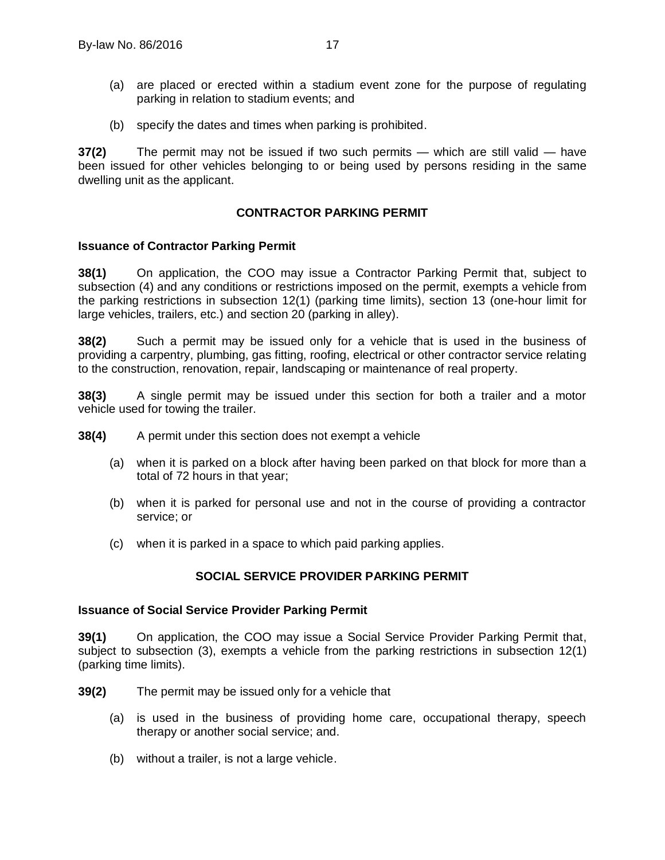- (a) are placed or erected within a stadium event zone for the purpose of regulating parking in relation to stadium events; and
- (b) specify the dates and times when parking is prohibited.

**37(2)** The permit may not be issued if two such permits — which are still valid — have been issued for other vehicles belonging to or being used by persons residing in the same dwelling unit as the applicant.

## **CONTRACTOR PARKING PERMIT**

## <span id="page-20-1"></span><span id="page-20-0"></span>**38 Issuance of Contractor Parking Permit**

**38(1)** On application, the COO may issue a Contractor Parking Permit that, subject to subsection (4) and any conditions or restrictions imposed on the permit, exempts a vehicle from the parking restrictions in subsection [12\(1\)](#page-10-5) (parking time limits), section [13](#page-11-0) (one-hour limit for large vehicles, trailers, etc.) and section [20](#page-14-2) (parking in alley).

**38(2)** Such a permit may be issued only for a vehicle that is used in the business of providing a carpentry, plumbing, gas fitting, roofing, electrical or other contractor service relating to the construction, renovation, repair, landscaping or maintenance of real property.

**38(3)** A single permit may be issued under this section for both a trailer and a motor vehicle used for towing the trailer.

- **38(4)** A permit under this section does not exempt a vehicle
	- (a) when it is parked on a block after having been parked on that block for more than a total of 72 hours in that year;
	- (b) when it is parked for personal use and not in the course of providing a contractor service; or
	- (c) when it is parked in a space to which paid parking applies.

## **SOCIAL SERVICE PROVIDER PARKING PERMIT**

#### <span id="page-20-3"></span><span id="page-20-2"></span>**39 Issuance of Social Service Provider Parking Permit**

**39(1)** On application, the COO may issue a Social Service Provider Parking Permit that, subject to subsection (3), exempts a vehicle from the parking restrictions in subsection [12\(1\)](#page-10-5) (parking time limits).

**39(2)** The permit may be issued only for a vehicle that

- (a) is used in the business of providing home care, occupational therapy, speech therapy or another social service; and.
- (b) without a trailer, is not a large vehicle.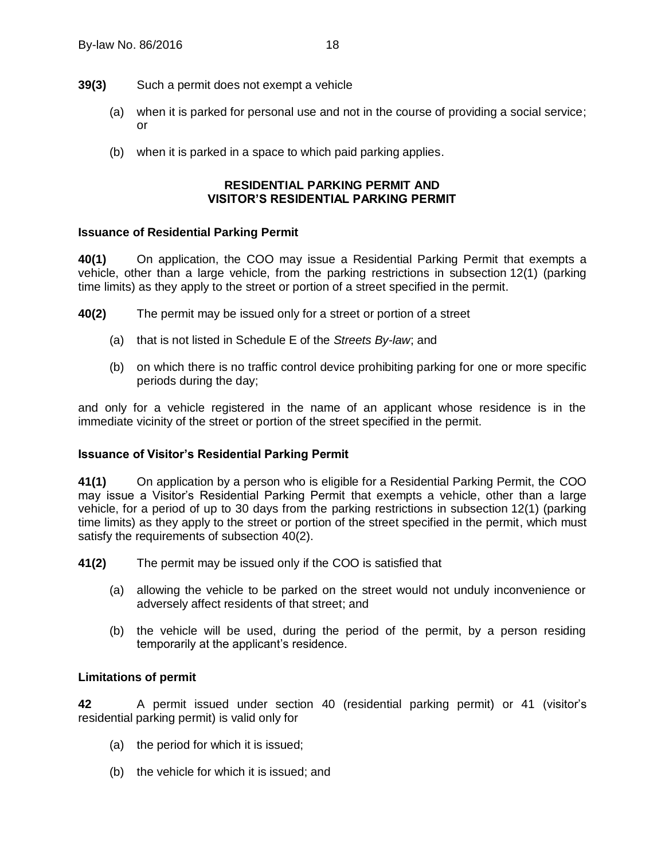- **39(3)** Such a permit does not exempt a vehicle
	- (a) when it is parked for personal use and not in the course of providing a social service; or
	- (b) when it is parked in a space to which paid parking applies.

## **RESIDENTIAL PARKING PERMIT AND VISITOR'S RESIDENTIAL PARKING PERMIT**

## <span id="page-21-1"></span><span id="page-21-0"></span>**40 Issuance of Residential Parking Permit**

**40(1)** On application, the COO may issue a Residential Parking Permit that exempts a vehicle, other than a large vehicle, from the parking restrictions in subsection [12\(1\)](#page-10-5) (parking time limits) as they apply to the street or portion of a street specified in the permit.

<span id="page-21-4"></span>**40(2)** The permit may be issued only for a street or portion of a street

- (a) that is not listed in Schedule E of the *Streets By-law*; and
- (b) on which there is no traffic control device prohibiting parking for one or more specific periods during the day;

and only for a vehicle registered in the name of an applicant whose residence is in the immediate vicinity of the street or portion of the street specified in the permit.

## <span id="page-21-2"></span>**41 Issuance of Visitor's Residential Parking Permit**

**41(1)** On application by a person who is eligible for a Residential Parking Permit, the COO may issue a Visitor's Residential Parking Permit that exempts a vehicle, other than a large vehicle, for a period of up to 30 days from the parking restrictions in subsection [12\(1\)](#page-10-5) (parking time limits) as they apply to the street or portion of the street specified in the permit, which must satisfy the requirements of subsection [40\(2\).](#page-21-4)

**41(2)** The permit may be issued only if the COO is satisfied that

- (a) allowing the vehicle to be parked on the street would not unduly inconvenience or adversely affect residents of that street; and
- (b) the vehicle will be used, during the period of the permit, by a person residing temporarily at the applicant's residence.

## <span id="page-21-3"></span>**42 Limitations of permit**

**42** A permit issued under section [40](#page-21-1) (residential parking permit) or [41](#page-21-2) (visitor's residential parking permit) is valid only for

- (a) the period for which it is issued;
- (b) the vehicle for which it is issued; and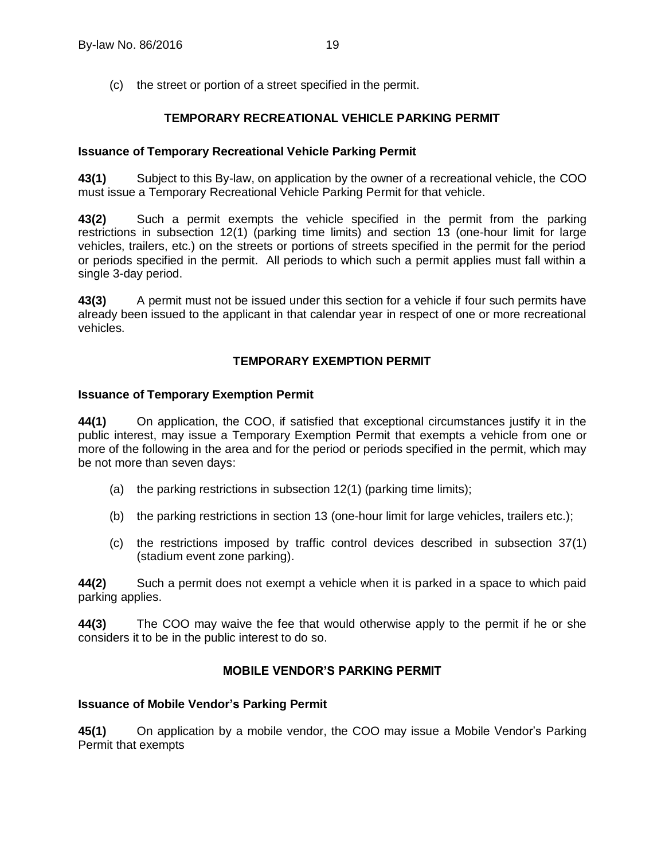(c) the street or portion of a street specified in the permit.

## **TEMPORARY RECREATIONAL VEHICLE PARKING PERMIT**

## <span id="page-22-1"></span><span id="page-22-0"></span>**43 Issuance of Temporary Recreational Vehicle Parking Permit**

**43(1)** Subject to this By-law, on application by the owner of a recreational vehicle, the COO must issue a Temporary Recreational Vehicle Parking Permit for that vehicle.

**43(2)** Such a permit exempts the vehicle specified in the permit from the parking restrictions in subsection [12\(1\)](#page-10-5) (parking time limits) and section [13](#page-11-0) (one-hour limit for large vehicles, trailers, etc.) on the streets or portions of streets specified in the permit for the period or periods specified in the permit. All periods to which such a permit applies must fall within a single 3-day period.

**43(3)** A permit must not be issued under this section for a vehicle if four such permits have already been issued to the applicant in that calendar year in respect of one or more recreational vehicles.

## **TEMPORARY EXEMPTION PERMIT**

#### <span id="page-22-3"></span><span id="page-22-2"></span>**44 Issuance of Temporary Exemption Permit**

**44(1)** On application, the COO, if satisfied that exceptional circumstances justify it in the public interest, may issue a Temporary Exemption Permit that exempts a vehicle from one or more of the following in the area and for the period or periods specified in the permit, which may be not more than seven days:

- (a) the parking restrictions in subsection [12\(1\)](#page-10-5) (parking time limits);
- (b) the parking restrictions in section [13](#page-11-0) (one-hour limit for large vehicles, trailers etc.);
- (c) the restrictions imposed by traffic control devices described in subsection [37\(1\)](#page-19-5) (stadium event zone parking).

**44(2)** Such a permit does not exempt a vehicle when it is parked in a space to which paid parking applies.

<span id="page-22-4"></span>**44(3)** The COO may waive the fee that would otherwise apply to the permit if he or she considers it to be in the public interest to do so.

## **MOBILE VENDOR'S PARKING PERMIT**

## <span id="page-22-5"></span>**45 Issuance of Mobile Vendor's Parking Permit**

**45(1)** On application by a mobile vendor, the COO may issue a Mobile Vendor's Parking Permit that exempts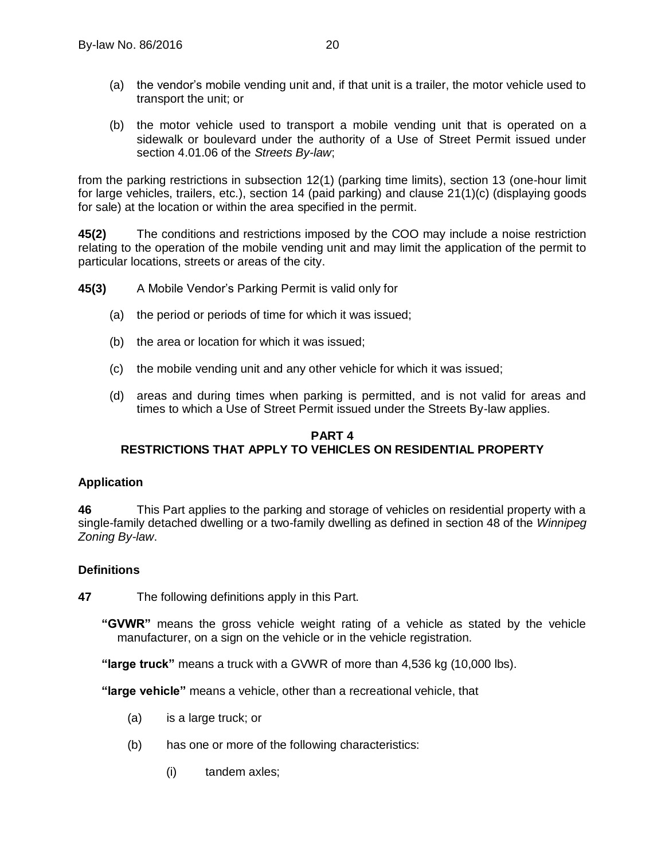- (a) the vendor's mobile vending unit and, if that unit is a trailer, the motor vehicle used to transport the unit; or
- (b) the motor vehicle used to transport a mobile vending unit that is operated on a sidewalk or boulevard under the authority of a Use of Street Permit issued under section 4.01.06 of the *Streets By-law*;

from the parking restrictions in subsection [12\(](#page-10-4)1) (parking time limits), section 13 (one-hour limit for large vehicles, trailers, etc.), section 14 (paid parking) and clause 21(1)(c) (displaying goods for sale) at the location or within the area specified in the permit.

**45(2)** The conditions and restrictions imposed by the COO may include a noise restriction relating to the operation of the mobile vending unit and may limit the application of the permit to particular locations, streets or areas of the city.

**45(3)** A Mobile Vendor's Parking Permit is valid only for

- (a) the period or periods of time for which it was issued;
- (b) the area or location for which it was issued;
- (c) the mobile vending unit and any other vehicle for which it was issued;
- (d) areas and during times when parking is permitted, and is not valid for areas and times to which a Use of Street Permit issued under the Streets By-law applies.

## <span id="page-23-0"></span>**PART 4 RESTRICTIONS THAT APPLY TO VEHICLES ON RESIDENTIAL PROPERTY**

## <span id="page-23-1"></span>**46 Application**

<span id="page-23-3"></span>**46** This Part applies to the parking and storage of vehicles on residential property with a single-family detached dwelling or a two-family dwelling as defined in section 48 of the *Winnipeg Zoning By-law*.

## <span id="page-23-2"></span>**47 Definitions**

**47** The following definitions apply in this Part.

**"GVWR"** means the gross vehicle weight rating of a vehicle as stated by the vehicle manufacturer, on a sign on the vehicle or in the vehicle registration.

**"large truck"** means a truck with a GVWR of more than 4,536 kg (10,000 lbs).

**"large vehicle"** means a vehicle, other than a recreational vehicle, that

- (a) is a large truck; or
- (b) has one or more of the following characteristics:
	- (i) tandem axles;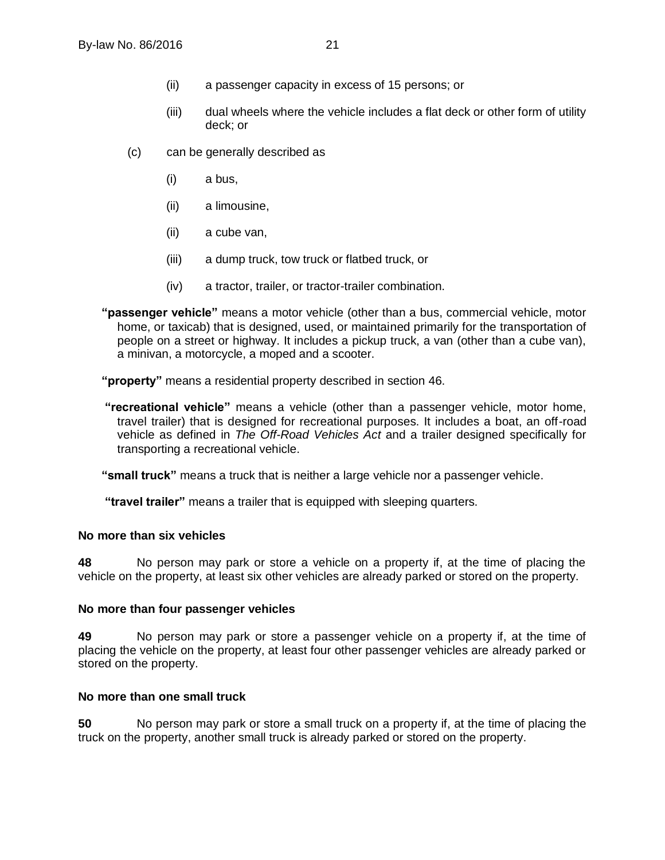- (ii) a passenger capacity in excess of 15 persons; or
- (iii) dual wheels where the vehicle includes a flat deck or other form of utility deck; or
- (c) can be generally described as
	- (i) a bus,
	- (ii) a limousine,
	- (ii) a cube van,
	- (iii) a dump truck, tow truck or flatbed truck, or
	- (iv) a tractor, trailer, or tractor-trailer combination.
- **"passenger vehicle"** means a motor vehicle (other than a bus, commercial vehicle, motor home, or taxicab) that is designed, used, or maintained primarily for the transportation of people on a street or highway. It includes a pickup truck, a van (other than a cube van), a minivan, a motorcycle, a moped and a scooter.

**"property"** means a residential property described in section [46.](#page-23-3)

**"recreational vehicle"** means a vehicle (other than a passenger vehicle, motor home, travel trailer) that is designed for recreational purposes. It includes a boat, an off-road vehicle as defined in *The Off-Road Vehicles Act* and a trailer designed specifically for transporting a recreational vehicle.

**"small truck"** means a truck that is neither a large vehicle nor a passenger vehicle.

**"travel trailer"** means a trailer that is equipped with sleeping quarters.

#### <span id="page-24-0"></span>**48 No more than six vehicles**

**48** No person may park or store a vehicle on a property if, at the time of placing the vehicle on the property, at least six other vehicles are already parked or stored on the property.

#### <span id="page-24-1"></span>**49 No more than four passenger vehicles**

**49** No person may park or store a passenger vehicle on a property if, at the time of placing the vehicle on the property, at least four other passenger vehicles are already parked or stored on the property.

## <span id="page-24-2"></span>**50 No more than one small truck**

**50** No person may park or store a small truck on a property if, at the time of placing the truck on the property, another small truck is already parked or stored on the property.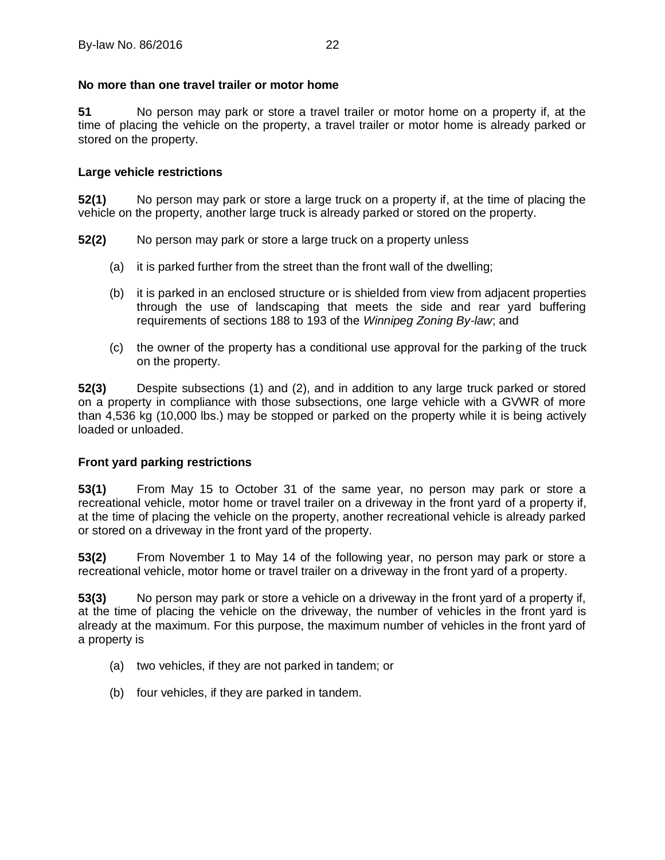## <span id="page-25-0"></span>**51 No more than one travel trailer or motor home**

**51** No person may park or store a travel trailer or motor home on a property if, at the time of placing the vehicle on the property, a travel trailer or motor home is already parked or stored on the property.

## <span id="page-25-1"></span>**52 Large vehicle restrictions**

**52(1)** No person may park or store a large truck on a property if, at the time of placing the vehicle on the property, another large truck is already parked or stored on the property.

- **52(2)** No person may park or store a large truck on a property unless
	- (a) it is parked further from the street than the front wall of the dwelling;
	- (b) it is parked in an enclosed structure or is shielded from view from adjacent properties through the use of landscaping that meets the side and rear yard buffering requirements of sections 188 to 193 of the *Winnipeg Zoning By-law*; and
	- (c) the owner of the property has a conditional use approval for the parking of the truck on the property.

**52(3)** Despite subsections (1) and (2), and in addition to any large truck parked or stored on a property in compliance with those subsections, one large vehicle with a GVWR of more than 4,536 kg (10,000 lbs.) may be stopped or parked on the property while it is being actively loaded or unloaded.

#### <span id="page-25-2"></span>**53 Front yard parking restrictions**

**53(1)** From May 15 to October 31 of the same year, no person may park or store a recreational vehicle, motor home or travel trailer on a driveway in the front yard of a property if, at the time of placing the vehicle on the property, another recreational vehicle is already parked or stored on a driveway in the front yard of the property.

**53(2)** From November 1 to May 14 of the following year, no person may park or store a recreational vehicle, motor home or travel trailer on a driveway in the front yard of a property.

**53(3)** No person may park or store a vehicle on a driveway in the front yard of a property if, at the time of placing the vehicle on the driveway, the number of vehicles in the front yard is already at the maximum. For this purpose, the maximum number of vehicles in the front yard of a property is

- (a) two vehicles, if they are not parked in tandem; or
- (b) four vehicles, if they are parked in tandem.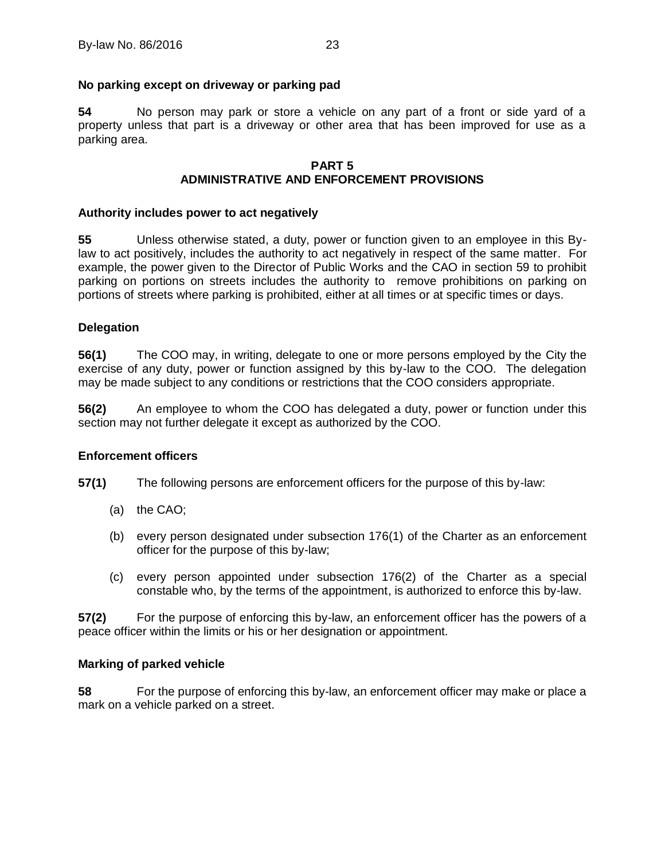## <span id="page-26-0"></span>**54 No parking except on driveway or parking pad**

**54** No person may park or store a vehicle on any part of a front or side yard of a property unless that part is a driveway or other area that has been improved for use as a parking area.

#### **PART 5 ADMINISTRATIVE AND ENFORCEMENT PROVISIONS**

#### <span id="page-26-2"></span><span id="page-26-1"></span>**55 Authority includes power to act negatively**

**55** Unless otherwise stated, a duty, power or function given to an employee in this Bylaw to act positively, includes the authority to act negatively in respect of the same matter. For example, the power given to the Director of Public Works and the CAO in section 59 to prohibit parking on portions on streets includes the authority to remove prohibitions on parking on portions of streets where parking is prohibited, either at all times or at specific times or days.

#### <span id="page-26-3"></span>**56 Delegation**

**56(1)** The COO may, in writing, delegate to one or more persons employed by the City the exercise of any duty, power or function assigned by this by-law to the COO. The delegation may be made subject to any conditions or restrictions that the COO considers appropriate.

**56(2)** An employee to whom the COO has delegated a duty, power or function under this section may not further delegate it except as authorized by the COO.

#### <span id="page-26-4"></span>**57 Enforcement officers**

**57(1)** The following persons are enforcement officers for the purpose of this by-law:

- (a) the CAO;
- (b) every person designated under subsection 176(1) of the Charter as an enforcement officer for the purpose of this by-law;
- (c) every person appointed under subsection 176(2) of the Charter as a special constable who, by the terms of the appointment, is authorized to enforce this by-law.

**57(2)** For the purpose of enforcing this by-law, an enforcement officer has the powers of a peace officer within the limits or his or her designation or appointment.

#### <span id="page-26-5"></span>**58 Marking of parked vehicle**

**58** For the purpose of enforcing this by-law, an enforcement officer may make or place a mark on a vehicle parked on a street.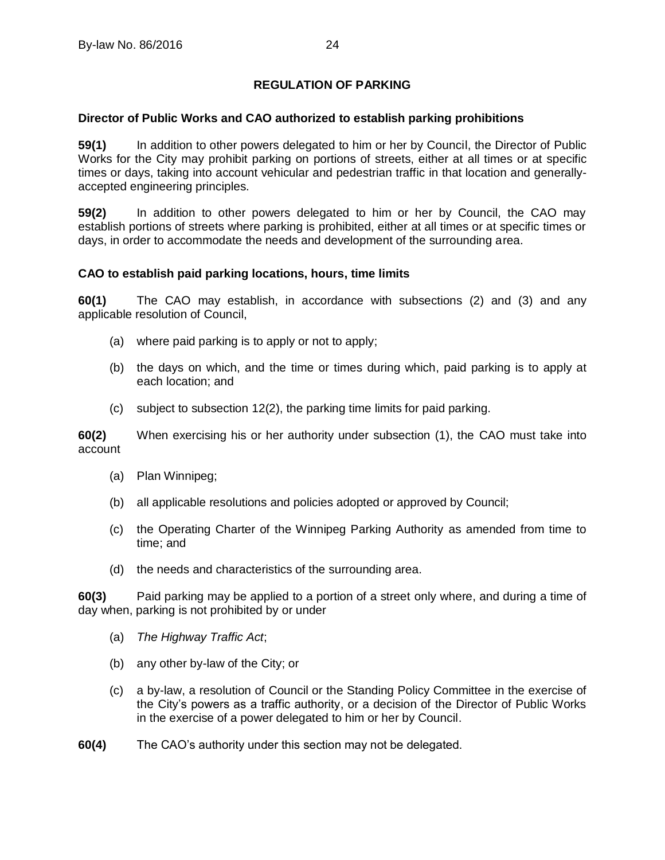## **REGULATION OF PARKING**

## <span id="page-27-1"></span><span id="page-27-0"></span>**59 Director of Public Works and CAO authorized to establish parking prohibitions**

**59(1)** In addition to other powers delegated to him or her by Council, the Director of Public Works for the City may prohibit parking on portions of streets, either at all times or at specific times or days, taking into account vehicular and pedestrian traffic in that location and generallyaccepted engineering principles.

**59(2)** In addition to other powers delegated to him or her by Council, the CAO may establish portions of streets where parking is prohibited, either at all times or at specific times or days, in order to accommodate the needs and development of the surrounding area.

## <span id="page-27-2"></span>**60 CAO to establish paid parking locations, hours, time limits**

**60(1)** The CAO may establish, in accordance with subsections (2) and (3) and any applicable resolution of Council,

- (a) where paid parking is to apply or not to apply;
- (b) the days on which, and the time or times during which, paid parking is to apply at each location; and
- (c) subject to subsection [12\(2\),](#page-10-6) the parking time limits for paid parking.

**60(2)** When exercising his or her authority under subsection (1), the CAO must take into account

- (a) Plan Winnipeg;
- (b) all applicable resolutions and policies adopted or approved by Council;
- (c) the Operating Charter of the Winnipeg Parking Authority as amended from time to time; and
- (d) the needs and characteristics of the surrounding area.

**60(3)** Paid parking may be applied to a portion of a street only where, and during a time of day when, parking is not prohibited by or under

- (a) *The Highway Traffic Act*;
- (b) any other by-law of the City; or
- (c) a by-law, a resolution of Council or the Standing Policy Committee in the exercise of the City's powers as a traffic authority, or a decision of the Director of Public Works in the exercise of a power delegated to him or her by Council.
- **60(4)** The CAO's authority under this section may not be delegated.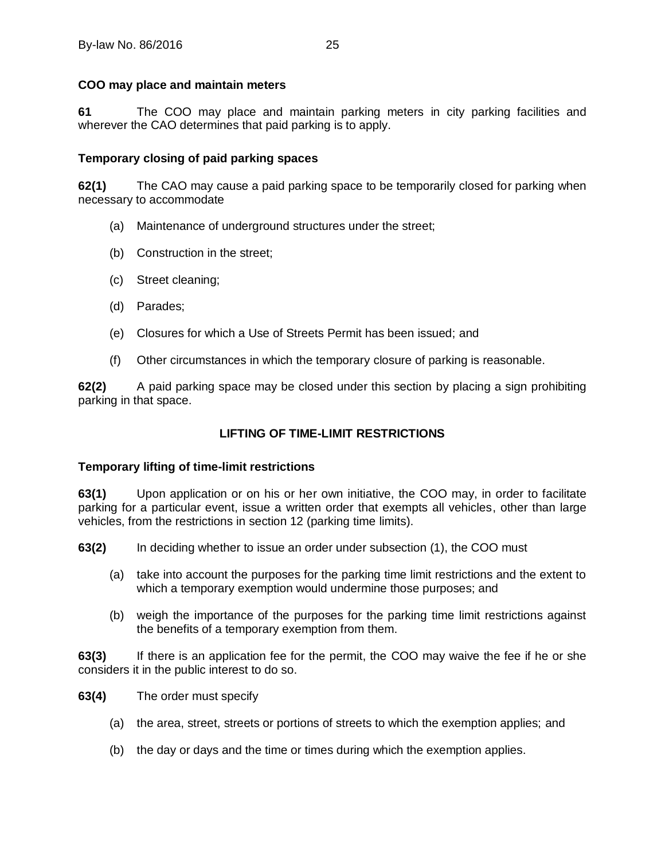## <span id="page-28-0"></span>**61 COO may place and maintain meters**

**61** The COO may place and maintain parking meters in city parking facilities and wherever the CAO determines that paid parking is to apply.

## <span id="page-28-1"></span>**62 Temporary closing of paid parking spaces**

**62(1)** The CAO may cause a paid parking space to be temporarily closed for parking when necessary to accommodate

- (a) Maintenance of underground structures under the street;
- (b) Construction in the street;
- (c) Street cleaning;
- (d) Parades;
- (e) Closures for which a Use of Streets Permit has been issued; and
- (f) Other circumstances in which the temporary closure of parking is reasonable.

**62(2)** A paid parking space may be closed under this section by placing a sign prohibiting parking in that space.

## **LIFTING OF TIME-LIMIT RESTRICTIONS**

## <span id="page-28-3"></span><span id="page-28-2"></span>**63 Temporary lifting of time-limit restrictions**

**63(1)** Upon application or on his or her own initiative, the COO may, in order to facilitate parking for a particular event, issue a written order that exempts all vehicles, other than large vehicles, from the restrictions in section [12](#page-10-4) (parking time limits).

**63(2)** In deciding whether to issue an order under subsection (1), the COO must

- (a) take into account the purposes for the parking time limit restrictions and the extent to which a temporary exemption would undermine those purposes; and
- (b) weigh the importance of the purposes for the parking time limit restrictions against the benefits of a temporary exemption from them.

**63(3)** If there is an application fee for the permit, the COO may waive the fee if he or she considers it in the public interest to do so.

**63(4)** The order must specify

- (a) the area, street, streets or portions of streets to which the exemption applies; and
- (b) the day or days and the time or times during which the exemption applies.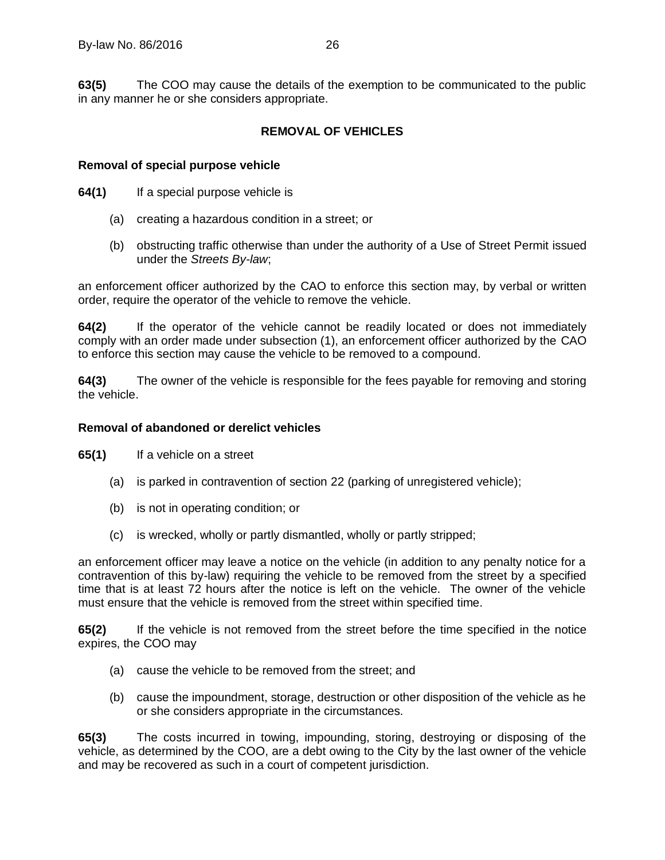**63(5)** The COO may cause the details of the exemption to be communicated to the public in any manner he or she considers appropriate.

## **REMOVAL OF VEHICLES**

## <span id="page-29-1"></span><span id="page-29-0"></span>**64 Removal of special purpose vehicle**

**64(1)** If a special purpose vehicle is

- (a) creating a hazardous condition in a street; or
- (b) obstructing traffic otherwise than under the authority of a Use of Street Permit issued under the *Streets By-law*;

an enforcement officer authorized by the CAO to enforce this section may, by verbal or written order, require the operator of the vehicle to remove the vehicle.

**64(2)** If the operator of the vehicle cannot be readily located or does not immediately comply with an order made under subsection (1), an enforcement officer authorized by the CAO to enforce this section may cause the vehicle to be removed to a compound.

**64(3)** The owner of the vehicle is responsible for the fees payable for removing and storing the vehicle.

#### <span id="page-29-2"></span>**65 Removal of abandoned or derelict vehicles**

**65(1)** If a vehicle on a street

- (a) is parked in contravention of section [22](#page-15-0) (parking of unregistered vehicle);
- (b) is not in operating condition; or
- (c) is wrecked, wholly or partly dismantled, wholly or partly stripped;

an enforcement officer may leave a notice on the vehicle (in addition to any penalty notice for a contravention of this by-law) requiring the vehicle to be removed from the street by a specified time that is at least 72 hours after the notice is left on the vehicle. The owner of the vehicle must ensure that the vehicle is removed from the street within specified time.

**65(2)** If the vehicle is not removed from the street before the time specified in the notice expires, the COO may

- (a) cause the vehicle to be removed from the street; and
- (b) cause the impoundment, storage, destruction or other disposition of the vehicle as he or she considers appropriate in the circumstances.

**65(3)** The costs incurred in towing, impounding, storing, destroying or disposing of the vehicle, as determined by the COO, are a debt owing to the City by the last owner of the vehicle and may be recovered as such in a court of competent jurisdiction.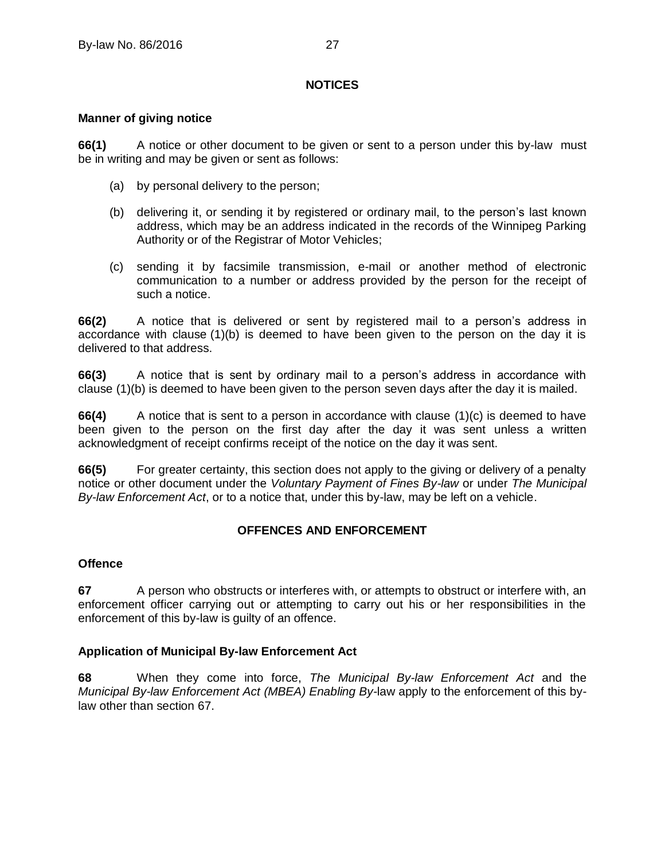## **NOTICES**

#### <span id="page-30-1"></span><span id="page-30-0"></span>**66 Manner of giving notice**

**66(1)** A notice or other document to be given or sent to a person under this by-law must be in writing and may be given or sent as follows:

- (a) by personal delivery to the person;
- (b) delivering it, or sending it by registered or ordinary mail, to the person's last known address, which may be an address indicated in the records of the Winnipeg Parking Authority or of the Registrar of Motor Vehicles;
- (c) sending it by facsimile transmission, e-mail or another method of electronic communication to a number or address provided by the person for the receipt of such a notice.

**66(2)** A notice that is delivered or sent by registered mail to a person's address in accordance with clause (1)(b) is deemed to have been given to the person on the day it is delivered to that address.

**66(3)** A notice that is sent by ordinary mail to a person's address in accordance with clause (1)(b) is deemed to have been given to the person seven days after the day it is mailed.

**66(4)** A notice that is sent to a person in accordance with clause (1)(c) is deemed to have been given to the person on the first day after the day it was sent unless a written acknowledgment of receipt confirms receipt of the notice on the day it was sent.

**66(5)** For greater certainty, this section does not apply to the giving or delivery of a penalty notice or other document under the *Voluntary Payment of Fines By-law* or under *The Municipal By-law Enforcement Act*, or to a notice that, under this by-law, may be left on a vehicle.

## **OFFENCES AND ENFORCEMENT**

#### <span id="page-30-3"></span><span id="page-30-2"></span>**67 Offence**

**67** A person who obstructs or interferes with, or attempts to obstruct or interfere with, an enforcement officer carrying out or attempting to carry out his or her responsibilities in the enforcement of this by-law is guilty of an offence.

## <span id="page-30-4"></span>**68 Application of Municipal By-law Enforcement Act**

**68** When they come into force, *The Municipal By-law Enforcement Act* and the *Municipal By-law Enforcement Act (MBEA) Enabling By-*law apply to the enforcement of this bylaw other than section 67.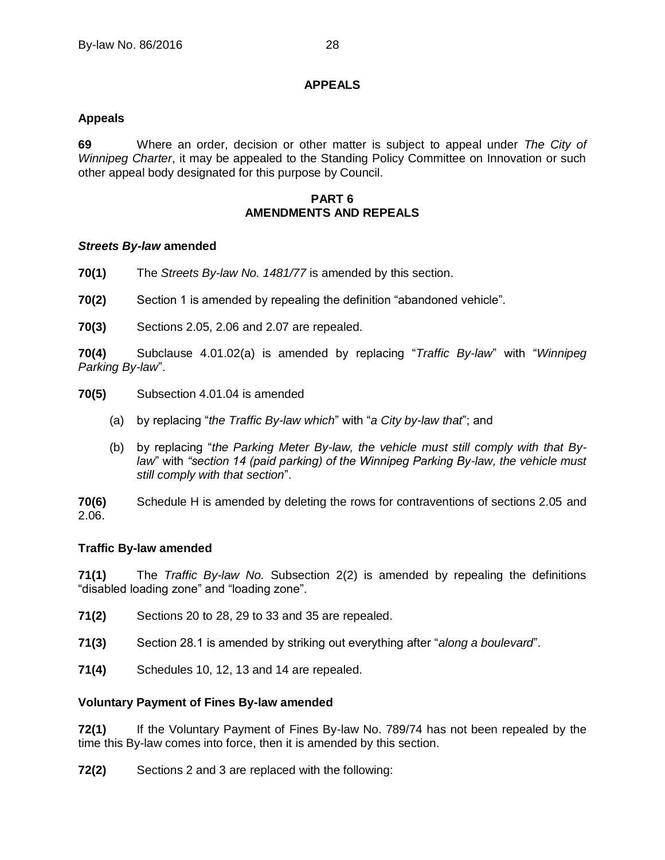## **APPEALS**

## <span id="page-31-1"></span><span id="page-31-0"></span>**69 Appeals**

**69** Where an order, decision or other matter is subject to appeal under *The City of Winnipeg Charter*, it may be appealed to the Standing Policy Committee on Innovation or such other appeal body designated for this purpose by Council.

#### **PART 6 AMENDMENTS AND REPEALS**

## <span id="page-31-3"></span><span id="page-31-2"></span>**70** *Streets By-law* **amended**

**70(1)** The *Streets By-law No. 1481/77* is amended by this section.

**70(2)** Section 1 is amended by repealing the definition "abandoned vehicle".

**70(3)** Sections 2.05, 2.06 and 2.07 are repealed.

**70(4)** Subclause 4.01.02(a) is amended by replacing "*Traffic By-law*" with "*Winnipeg Parking By-law*".

- **70(5)** Subsection 4.01.04 is amended
	- (a) by replacing "*the Traffic By-law which*" with "*a City by-law that*"; and
	- (b) by replacing "*the Parking Meter By-law, the vehicle must still comply with that Bylaw*" with *"section 14 (paid parking) of the Winnipeg Parking By-law, the vehicle must still comply with that section*".

**70(6)** Schedule H is amended by deleting the rows for contraventions of sections 2.05 and 2.06.

#### <span id="page-31-4"></span>**71 Traffic By-law amended**

**71(1)** The *Traffic By-law No.* Subsection 2(2) is amended by repealing the definitions "disabled loading zone" and "loading zone".

- **71(2)** Sections 20 to 28, 29 to 33 and 35 are repealed.
- **71(3)** Section 28.1 is amended by striking out everything after "*along a boulevard*".
- **71(4)** Schedules 10, 12, 13 and 14 are repealed.

#### <span id="page-31-5"></span>**72 Voluntary Payment of Fines By-law amended**

**72(1)** If the Voluntary Payment of Fines By-law No. 789/74 has not been repealed by the time this By-law comes into force, then it is amended by this section.

**72(2)** Sections 2 and 3 are replaced with the following: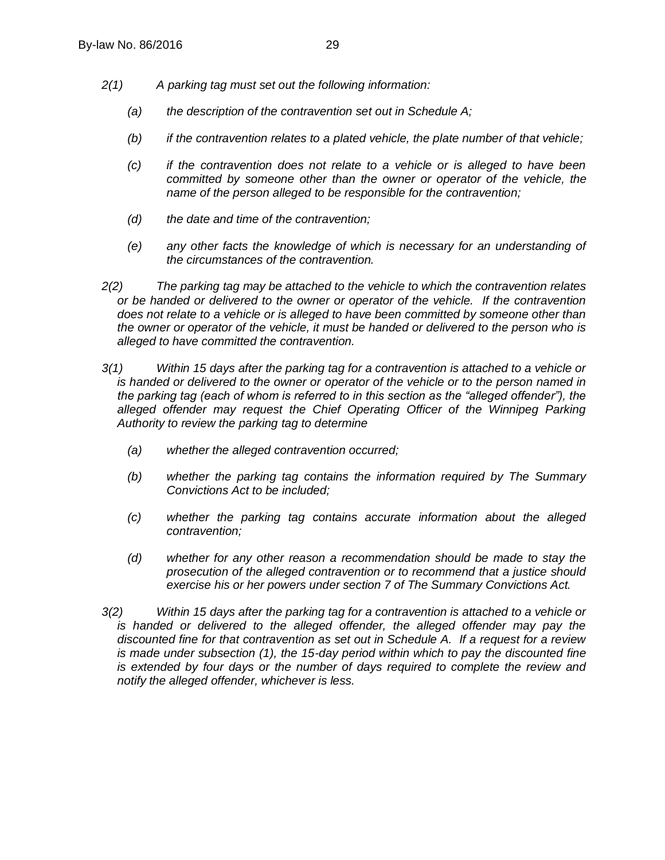- *2(1) A parking tag must set out the following information:*
	- *(a) the description of the contravention set out in Schedule A;*
	- *(b) if the contravention relates to a plated vehicle, the plate number of that vehicle;*
	- *(c) if the contravention does not relate to a vehicle or is alleged to have been committed by someone other than the owner or operator of the vehicle, the name of the person alleged to be responsible for the contravention;*
	- *(d) the date and time of the contravention;*
	- *(e) any other facts the knowledge of which is necessary for an understanding of the circumstances of the contravention.*
- *2(2) The parking tag may be attached to the vehicle to which the contravention relates or be handed or delivered to the owner or operator of the vehicle. If the contravention does not relate to a vehicle or is alleged to have been committed by someone other than the owner or operator of the vehicle, it must be handed or delivered to the person who is alleged to have committed the contravention.*
- *3(1) Within 15 days after the parking tag for a contravention is attached to a vehicle or is handed or delivered to the owner or operator of the vehicle or to the person named in the parking tag (each of whom is referred to in this section as the "alleged offender"), the*  alleged offender may reguest the Chief Operating Officer of the Winnipeg Parking *Authority to review the parking tag to determine*
	- *(a) whether the alleged contravention occurred;*
	- *(b) whether the parking tag contains the information required by The Summary Convictions Act to be included;*
	- *(c) whether the parking tag contains accurate information about the alleged contravention;*
	- *(d) whether for any other reason a recommendation should be made to stay the prosecution of the alleged contravention or to recommend that a justice should exercise his or her powers under section 7 of The Summary Convictions Act.*
- *3(2) Within 15 days after the parking tag for a contravention is attached to a vehicle or*  is handed or delivered to the alleged offender, the alleged offender may pay the *discounted fine for that contravention as set out in Schedule A. If a request for a review is made under subsection (1), the 15-day period within which to pay the discounted fine is extended by four days or the number of days required to complete the review and notify the alleged offender, whichever is less.*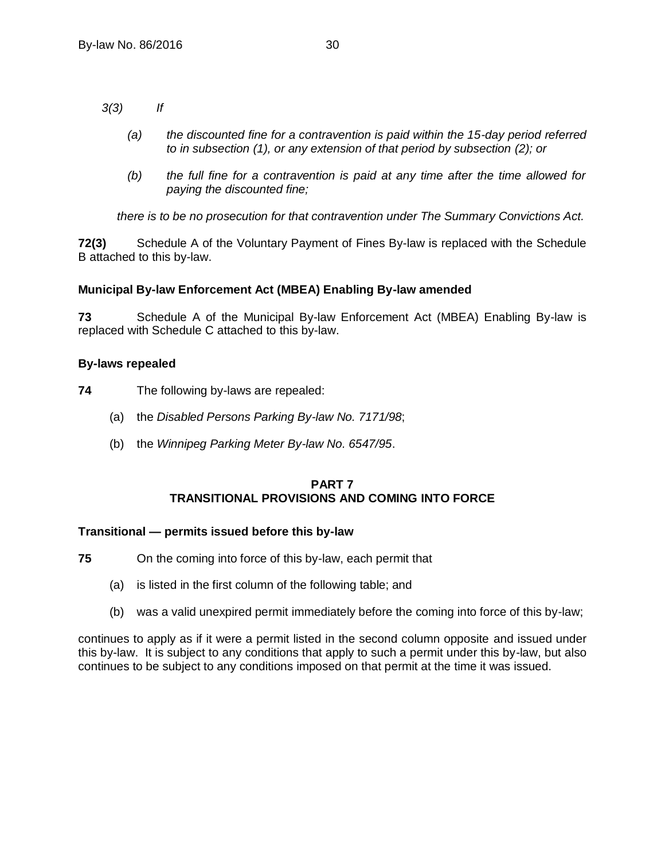*3(3) If* 

- *(a) the discounted fine for a contravention is paid within the 15-day period referred to in subsection (1), or any extension of that period by subsection (2); or*
- *(b) the full fine for a contravention is paid at any time after the time allowed for paying the discounted fine;*

*there is to be no prosecution for that contravention under The Summary Convictions Act.*

**72(3)** Schedule A of the Voluntary Payment of Fines By-law is replaced with the Schedule B attached to this by-law.

## <span id="page-33-0"></span>**73 Municipal By-law Enforcement Act (MBEA) Enabling By-law amended**

**73** Schedule A of the Municipal By-law Enforcement Act (MBEA) Enabling By-law is replaced with Schedule C attached to this by-law.

## <span id="page-33-1"></span>**74 By-laws repealed**

**74** The following by-laws are repealed:

- (a) the *Disabled Persons Parking By-law No. 7171/98*;
- (b) the *Winnipeg Parking Meter By-law No. 6547/95*.

## **PART 7 TRANSITIONAL PROVISIONS AND COMING INTO FORCE**

#### <span id="page-33-3"></span><span id="page-33-2"></span>**75 Transitional — permits issued before this by-law**

- **75** On the coming into force of this by-law, each permit that
	- (a) is listed in the first column of the following table; and
	- (b) was a valid unexpired permit immediately before the coming into force of this by-law;

continues to apply as if it were a permit listed in the second column opposite and issued under this by-law. It is subject to any conditions that apply to such a permit under this by-law, but also continues to be subject to any conditions imposed on that permit at the time it was issued.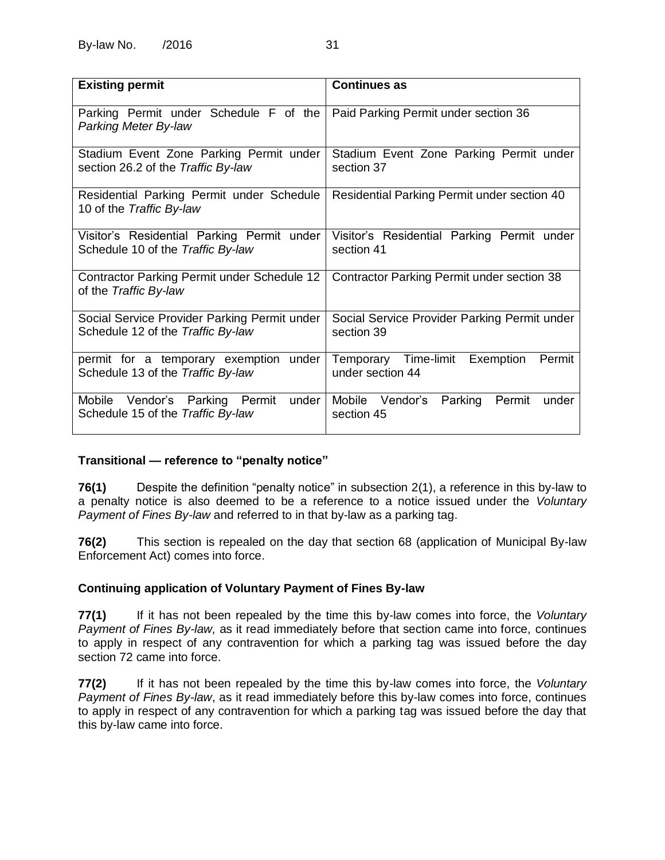| <b>Existing permit</b>                                                            | <b>Continues as</b>                                          |  |
|-----------------------------------------------------------------------------------|--------------------------------------------------------------|--|
| Parking Permit under Schedule F of the<br>Parking Meter By-law                    | Paid Parking Permit under section 36                         |  |
| Stadium Event Zone Parking Permit under<br>section 26.2 of the Traffic By-law     | Stadium Event Zone Parking Permit under<br>section 37        |  |
| Residential Parking Permit under Schedule<br>10 of the Traffic By-law             | Residential Parking Permit under section 40                  |  |
| Visitor's Residential Parking Permit under<br>Schedule 10 of the Traffic By-law   | Visitor's Residential Parking Permit under<br>section 41     |  |
| Contractor Parking Permit under Schedule 12<br>of the Traffic By-law              | Contractor Parking Permit under section 38                   |  |
| Social Service Provider Parking Permit under<br>Schedule 12 of the Traffic By-law | Social Service Provider Parking Permit under<br>section 39   |  |
| permit for a temporary exemption under<br>Schedule 13 of the Traffic By-law       | Temporary Time-limit Exemption<br>Permit<br>under section 44 |  |
| under<br>Mobile Vendor's Parking Permit<br>Schedule 15 of the Traffic By-law      | Mobile Vendor's Parking Permit<br>under<br>section 45        |  |

## <span id="page-34-0"></span>**76 Transitional — reference to "penalty notice"**

**76(1)** Despite the definition "penalty notice" in subsection [2\(1\),](#page-4-3) a reference in this by-law to a penalty notice is also deemed to be a reference to a notice issued under the *Voluntary Payment of Fines By-law* and referred to in that by-law as a parking tag.

**76(2)** This section is repealed on the day that section [68](#page-30-4) (application of Municipal By-law Enforcement Act) comes into force.

## <span id="page-34-1"></span>**77 Continuing application of Voluntary Payment of Fines By-law**

**77(1)** If it has not been repealed by the time this by-law comes into force, the *Voluntary Payment of Fines By-law,* as it read immediately before that section came into force, continues to apply in respect of any contravention for which a parking tag was issued before the day section 72 came into force.

<span id="page-34-2"></span>**77(2)** If it has not been repealed by the time this by-law comes into force, the *Voluntary Payment of Fines By-law*, as it read immediately before this by-law comes into force, continues to apply in respect of any contravention for which a parking tag was issued before the day that this by-law came into force.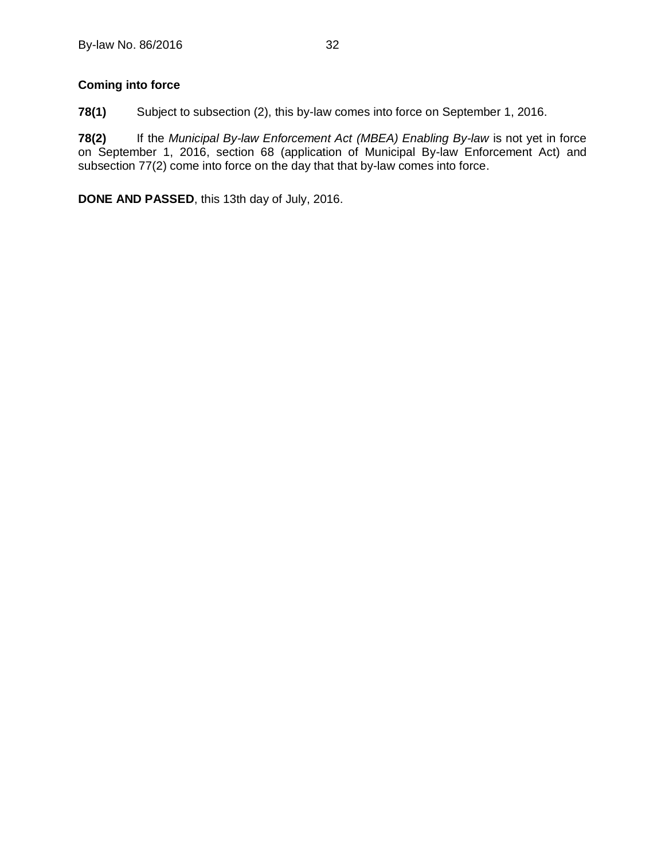## <span id="page-35-0"></span>**78 Coming into force**

**78(1)** Subject to subsection (2), this by-law comes into force on September 1, 2016.

**78(2)** If the *Municipal By-law Enforcement Act (MBEA) Enabling By-law* is not yet in force on September 1, 2016, section [68](#page-30-4) (application of Municipal By-law Enforcement Act) and subsection [77\(2\)](#page-34-2) come into force on the day that that by-law comes into force.

**DONE AND PASSED**, this 13th day of July, 2016.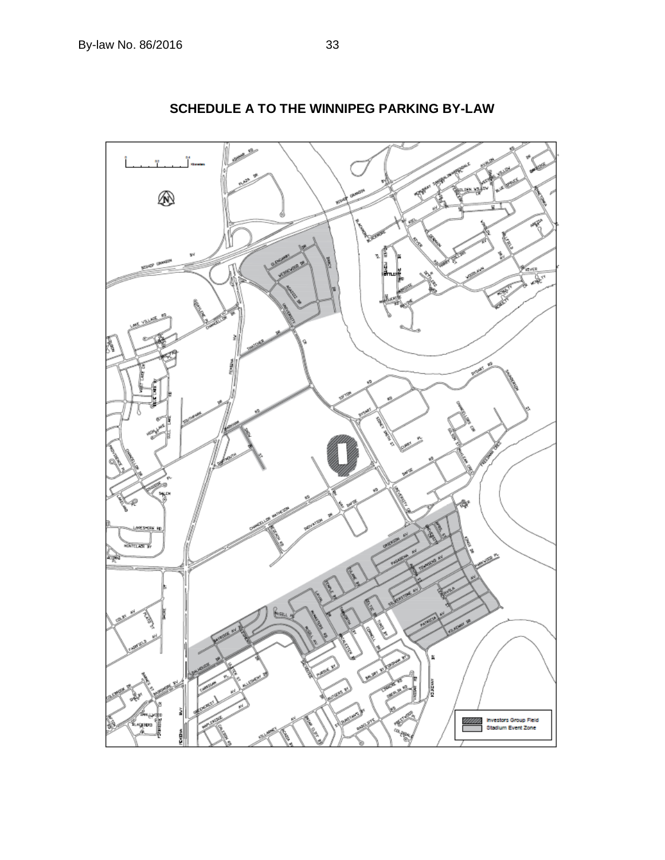<span id="page-36-0"></span>

**SCHEDULE A TO THE WINNIPEG PARKING BY-LAW**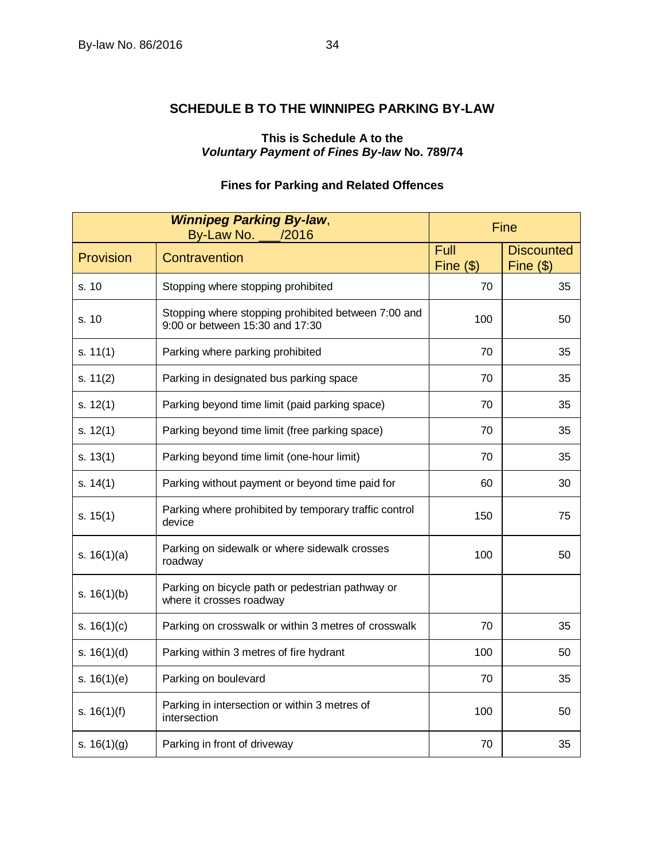## <span id="page-37-0"></span>**SCHEDULE B TO THE WINNIPEG PARKING BY-LAW**

## **This is Schedule A to the** *Voluntary Payment of Fines By-law* **No. 789/74**

## **Fines for Parking and Related Offences**

| <b>Winnipeg Parking By-law,</b><br>By-Law No.<br>/2016 |                                                                                        | Fine                       |                                  |
|--------------------------------------------------------|----------------------------------------------------------------------------------------|----------------------------|----------------------------------|
| Provision                                              | Contravention                                                                          | Full<br>$\text{Fine}$ (\$) | <b>Discounted</b><br>$Fine($ \$) |
| s. 10                                                  | Stopping where stopping prohibited                                                     | 70                         | 35                               |
| s. 10                                                  | Stopping where stopping prohibited between 7:00 and<br>9:00 or between 15:30 and 17:30 | 100                        | 50                               |
| s. 11(1)                                               | Parking where parking prohibited                                                       | 70                         | 35                               |
| s. $11(2)$                                             | Parking in designated bus parking space                                                | 70                         | 35                               |
| s. 12(1)                                               | Parking beyond time limit (paid parking space)                                         | 70                         | 35                               |
| s. $12(1)$                                             | Parking beyond time limit (free parking space)                                         | 70                         | 35                               |
| s. $13(1)$                                             | Parking beyond time limit (one-hour limit)                                             | 70                         | 35                               |
| s. 14(1)                                               | Parking without payment or beyond time paid for                                        | 60                         | 30                               |
| s. $15(1)$                                             | Parking where prohibited by temporary traffic control<br>device                        | 150                        | 75                               |
| s. $16(1)(a)$                                          | Parking on sidewalk or where sidewalk crosses<br>roadway                               | 100                        | 50                               |
| s. $16(1)(b)$                                          | Parking on bicycle path or pedestrian pathway or<br>where it crosses roadway           |                            |                                  |
| s. $16(1)(c)$                                          | Parking on crosswalk or within 3 metres of crosswalk                                   | 70                         | 35                               |
| s. $16(1)(d)$                                          | Parking within 3 metres of fire hydrant                                                | 100                        | 50                               |
| s. $16(1)(e)$                                          | Parking on boulevard                                                                   | 70                         | 35                               |
| s. $16(1)(f)$                                          | Parking in intersection or within 3 metres of<br>intersection                          | 100                        | 50                               |
| s. $16(1)(g)$                                          | Parking in front of driveway                                                           | 70                         | 35                               |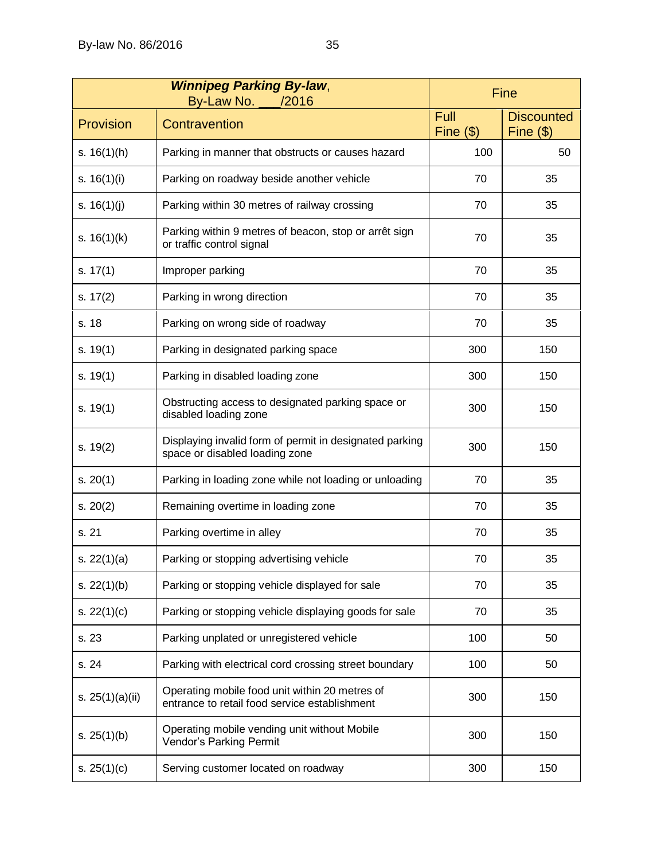| <b>Winnipeg Parking By-law,</b><br>By-Law No. ___/2016 |                                                                                                 | Fine                                  |                                  |
|--------------------------------------------------------|-------------------------------------------------------------------------------------------------|---------------------------------------|----------------------------------|
| Provision                                              | Contravention                                                                                   | Full<br>$\overline{\text{Fine}}$ (\$) | <b>Discounted</b><br>Fine $(\$)$ |
| s. $16(1)(h)$                                          | Parking in manner that obstructs or causes hazard                                               | 100                                   | 50                               |
| s. $16(1)(i)$                                          | Parking on roadway beside another vehicle                                                       | 70                                    | 35                               |
| s. $16(1)(j)$                                          | Parking within 30 metres of railway crossing                                                    | 70                                    | 35                               |
| s. $16(1)(k)$                                          | Parking within 9 metres of beacon, stop or arrêt sign<br>or traffic control signal              | 70                                    | 35                               |
| s. $17(1)$                                             | Improper parking                                                                                | 70                                    | 35                               |
| s. $17(2)$                                             | Parking in wrong direction                                                                      | 70                                    | 35                               |
| s. 18                                                  | Parking on wrong side of roadway                                                                | 70                                    | 35                               |
| s. $19(1)$                                             | Parking in designated parking space                                                             | 300                                   | 150                              |
| s. $19(1)$                                             | Parking in disabled loading zone                                                                | 300                                   | 150                              |
| s. $19(1)$                                             | Obstructing access to designated parking space or<br>disabled loading zone                      | 300                                   | 150                              |
| s. $19(2)$                                             | Displaying invalid form of permit in designated parking<br>space or disabled loading zone       | 300                                   | 150                              |
| s. $20(1)$                                             | Parking in loading zone while not loading or unloading                                          | 70                                    | 35                               |
| s. 20(2)                                               | Remaining overtime in loading zone                                                              | 70                                    | 35                               |
| s. 21                                                  | Parking overtime in alley                                                                       | 70                                    | 35                               |
| s. $22(1)(a)$                                          | Parking or stopping advertising vehicle                                                         | 70                                    | 35                               |
| s. $22(1)(b)$                                          | Parking or stopping vehicle displayed for sale                                                  | 70                                    | 35                               |
| s. $22(1)(c)$                                          | Parking or stopping vehicle displaying goods for sale                                           | 70                                    | 35                               |
| s. 23                                                  | Parking unplated or unregistered vehicle                                                        | 100                                   | 50                               |
| s. 24                                                  | Parking with electrical cord crossing street boundary                                           | 100                                   | 50                               |
| s. $25(1)(a)(ii)$                                      | Operating mobile food unit within 20 metres of<br>entrance to retail food service establishment | 300                                   | 150                              |
| s. $25(1)(b)$                                          | Operating mobile vending unit without Mobile<br>Vendor's Parking Permit                         | 300                                   | 150                              |
| s. $25(1)(c)$                                          | Serving customer located on roadway                                                             | 300                                   | 150                              |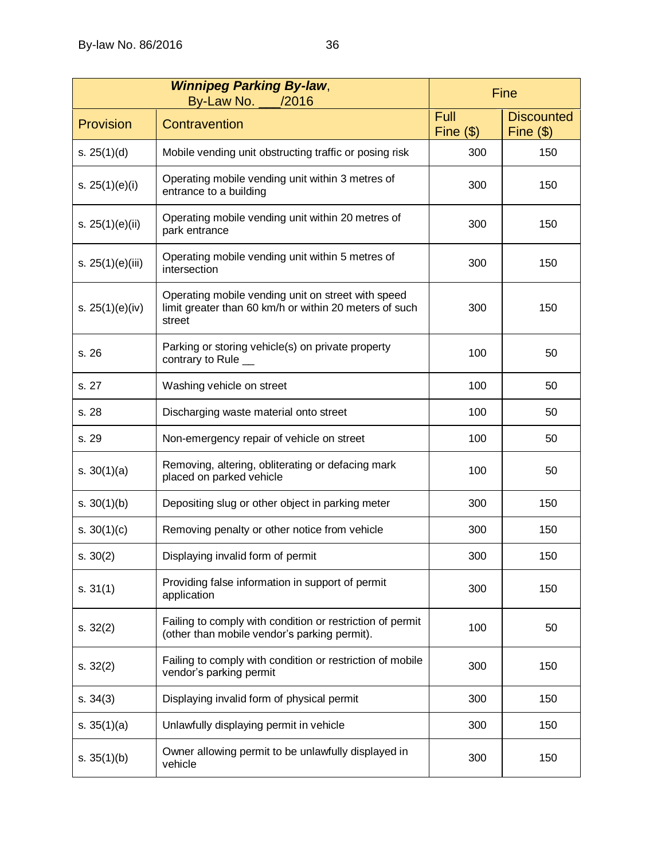|                   | <b>Winnipeg Parking By-law,</b><br>By-Law No. 462016                                                                   | Fine                        |                                  |
|-------------------|------------------------------------------------------------------------------------------------------------------------|-----------------------------|----------------------------------|
| Provision         | Contravention                                                                                                          | <b>Full</b><br>Fine $($ \$) | <b>Discounted</b><br>Fine $(\$)$ |
| s. $25(1)(d)$     | Mobile vending unit obstructing traffic or posing risk                                                                 | 300                         | 150                              |
| s. $25(1)(e)(i)$  | Operating mobile vending unit within 3 metres of<br>entrance to a building                                             | 300                         | 150                              |
| s. $25(1)(e)(ii)$ | Operating mobile vending unit within 20 metres of<br>park entrance                                                     | 300                         | 150                              |
| s. 25(1)(e)(iii)  | Operating mobile vending unit within 5 metres of<br>intersection                                                       | 300                         | 150                              |
| s. $25(1)(e)(iv)$ | Operating mobile vending unit on street with speed<br>limit greater than 60 km/h or within 20 meters of such<br>street | 300                         | 150                              |
| s. 26             | Parking or storing vehicle(s) on private property<br>contrary to Rule _                                                | 100                         | 50                               |
| s. 27             | Washing vehicle on street                                                                                              | 100                         | 50                               |
| s. 28             | Discharging waste material onto street                                                                                 | 100                         | 50                               |
| s. 29             | Non-emergency repair of vehicle on street                                                                              | 100                         | 50                               |
| s. $30(1)(a)$     | Removing, altering, obliterating or defacing mark<br>placed on parked vehicle                                          | 100                         | 50                               |
| s. $30(1)(b)$     | Depositing slug or other object in parking meter                                                                       | 300                         | 150                              |
| s. $30(1)(c)$     | Removing penalty or other notice from vehicle                                                                          | 300                         | 150                              |
| s. $30(2)$        | Displaying invalid form of permit                                                                                      | 300                         | 150                              |
| s. 31(1)          | Providing false information in support of permit<br>application                                                        | 300                         | 150                              |
| s. $32(2)$        | Failing to comply with condition or restriction of permit<br>(other than mobile vendor's parking permit).              | 100                         | 50                               |
| s. $32(2)$        | Failing to comply with condition or restriction of mobile<br>vendor's parking permit                                   | 300                         | 150                              |
| s. 34(3)          | Displaying invalid form of physical permit                                                                             | 300                         | 150                              |
| s. $35(1)(a)$     | Unlawfully displaying permit in vehicle                                                                                | 300                         | 150                              |
| s. $35(1)(b)$     | Owner allowing permit to be unlawfully displayed in<br>vehicle                                                         | 300                         | 150                              |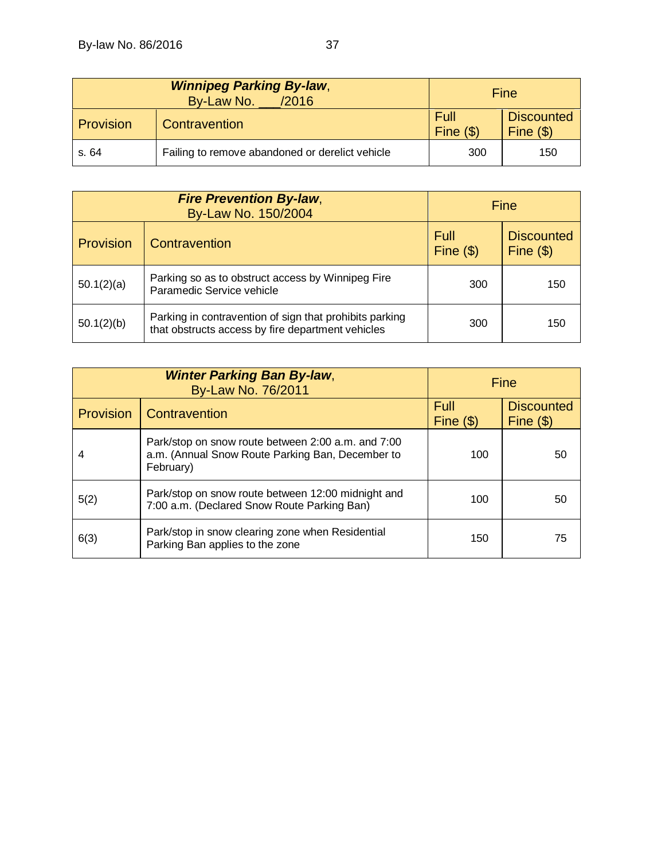|           | <b>Winnipeg Parking By-law,</b><br>By-Law No. _<br>/2016 |                            | Fine                                    |
|-----------|----------------------------------------------------------|----------------------------|-----------------------------------------|
| Provision | Contravention                                            | Full<br>$\text{Fine}$ (\$) | <b>Discounted</b><br>$\text{Fine}$ (\$) |
| s. 64     | Failing to remove abandoned or derelict vehicle          | 300                        | 150                                     |

| <b>Fire Prevention By-law,</b><br>By-Law No. 150/2004 |                                                                                                              | <b>Fine</b>          |                                         |
|-------------------------------------------------------|--------------------------------------------------------------------------------------------------------------|----------------------|-----------------------------------------|
| Provision                                             | Contravention                                                                                                | Full<br>$Fine($ $s)$ | <b>Discounted</b><br>$\text{Fine}$ (\$) |
| 50.1(2)(a)                                            | Parking so as to obstruct access by Winnipeg Fire<br>Paramedic Service vehicle                               | 300                  | 150                                     |
| 50.1(2)(b)                                            | Parking in contravention of sign that prohibits parking<br>that obstructs access by fire department vehicles | 300                  | 150                                     |

|                  | <b>Winter Parking Ban By-law,</b><br>By-Law No. 76/2011                                                             | Fine               |                                  |
|------------------|---------------------------------------------------------------------------------------------------------------------|--------------------|----------------------------------|
| <b>Provision</b> | Contravention                                                                                                       | Full<br>Fine $($)$ | <b>Discounted</b><br>Fine $(\$)$ |
| 4                | Park/stop on snow route between 2:00 a.m. and 7:00<br>a.m. (Annual Snow Route Parking Ban, December to<br>February) | 100                | 50                               |
| 5(2)             | Park/stop on snow route between 12:00 midnight and<br>7:00 a.m. (Declared Snow Route Parking Ban)                   | 100                | 50                               |
| 6(3)             | Park/stop in snow clearing zone when Residential<br>Parking Ban applies to the zone                                 | 150                | 75                               |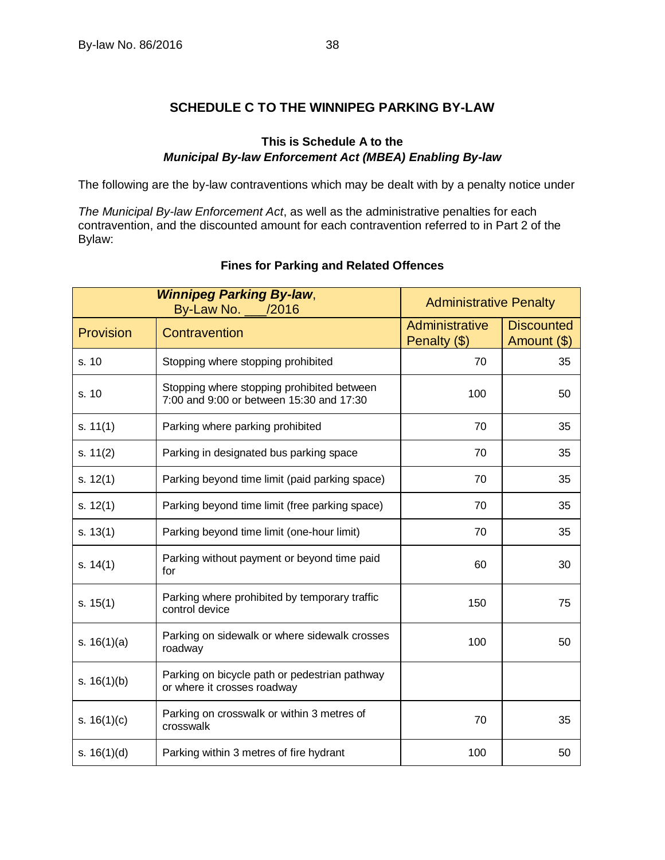## **SCHEDULE C TO THE WINNIPEG PARKING BY-LAW**

## **This is Schedule A to the** *Municipal By-law Enforcement Act (MBEA) Enabling By-law*

<span id="page-41-0"></span>The following are the by-law contraventions which may be dealt with by a penalty notice under

*The Municipal By-law Enforcement Act*, as well as the administrative penalties for each contravention, and the discounted amount for each contravention referred to in Part 2 of the Bylaw:

| <b>Winnipeg Parking By-law,</b><br>By-Law No. ___/2016 |                                                                                        | <b>Administrative Penalty</b>  |                                  |
|--------------------------------------------------------|----------------------------------------------------------------------------------------|--------------------------------|----------------------------------|
| Provision                                              | Contravention                                                                          | Administrative<br>Penalty (\$) | <b>Discounted</b><br>Amount (\$) |
| s. 10                                                  | Stopping where stopping prohibited                                                     | 70                             | 35                               |
| s. 10                                                  | Stopping where stopping prohibited between<br>7:00 and 9:00 or between 15:30 and 17:30 | 100                            | 50                               |
| s. $11(1)$                                             | Parking where parking prohibited                                                       | 70                             | 35                               |
| s. $11(2)$                                             | Parking in designated bus parking space                                                | 70                             | 35                               |
| s. $12(1)$                                             | Parking beyond time limit (paid parking space)                                         | 70                             | 35                               |
| s. $12(1)$                                             | Parking beyond time limit (free parking space)                                         | 70                             | 35                               |
| s. $13(1)$                                             | Parking beyond time limit (one-hour limit)                                             | 70                             | 35                               |
| s. $14(1)$                                             | Parking without payment or beyond time paid<br>for                                     | 60                             | 30                               |
| s. $15(1)$                                             | Parking where prohibited by temporary traffic<br>control device                        | 150                            | 75                               |
| s. $16(1)(a)$                                          | Parking on sidewalk or where sidewalk crosses<br>roadway                               | 100                            | 50                               |
| s. $16(1)(b)$                                          | Parking on bicycle path or pedestrian pathway<br>or where it crosses roadway           |                                |                                  |
| s. $16(1)(c)$                                          | Parking on crosswalk or within 3 metres of<br>crosswalk                                | 70                             | 35                               |
| s. $16(1)(d)$                                          | Parking within 3 metres of fire hydrant                                                | 100                            | 50                               |

## **Fines for Parking and Related Offences**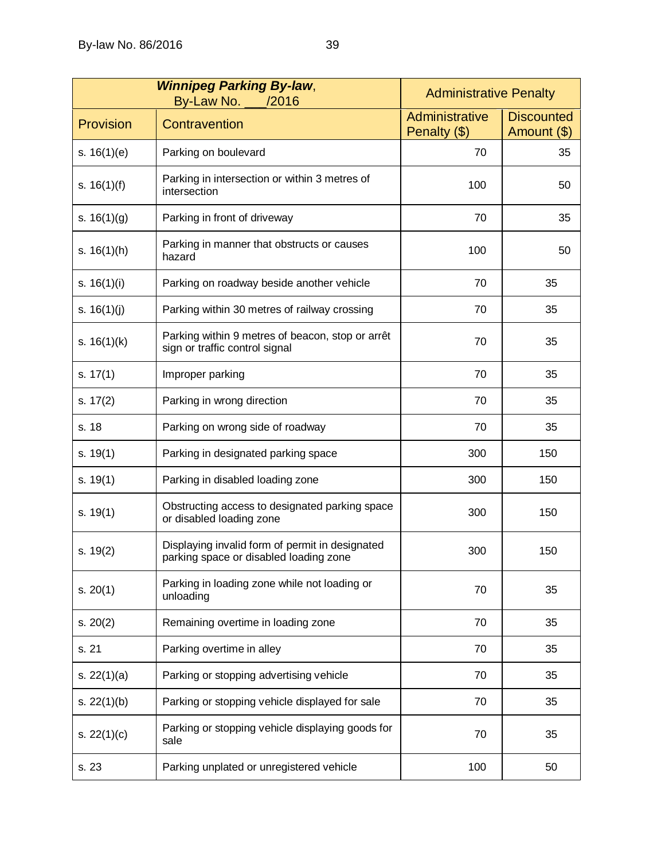| <b>Winnipeg Parking By-law,</b><br>By-Law No. _<br>/2016 |                                                                                           | <b>Administrative Penalty</b>  |                                  |
|----------------------------------------------------------|-------------------------------------------------------------------------------------------|--------------------------------|----------------------------------|
| Provision                                                | Contravention                                                                             | Administrative<br>Penalty (\$) | <b>Discounted</b><br>Amount (\$) |
| s. $16(1)(e)$                                            | Parking on boulevard                                                                      | 70                             | 35                               |
| s. $16(1)(f)$                                            | Parking in intersection or within 3 metres of<br>intersection                             | 100                            | 50                               |
| s. $16(1)(g)$                                            | Parking in front of driveway                                                              | 70                             | 35                               |
| s. $16(1)(h)$                                            | Parking in manner that obstructs or causes<br>hazard                                      | 100                            | 50                               |
| s. $16(1)(i)$                                            | Parking on roadway beside another vehicle                                                 | 70                             | 35                               |
| s. $16(1)(j)$                                            | Parking within 30 metres of railway crossing                                              | 70                             | 35                               |
| s. $16(1)(k)$                                            | Parking within 9 metres of beacon, stop or arrêt<br>sign or traffic control signal        | 70                             | 35                               |
| s. $17(1)$                                               | Improper parking                                                                          | 70                             | 35                               |
| s. $17(2)$                                               | Parking in wrong direction                                                                | 70                             | 35                               |
| s. 18                                                    | Parking on wrong side of roadway                                                          | 70                             | 35                               |
| s. $19(1)$                                               | Parking in designated parking space                                                       | 300                            | 150                              |
| s. $19(1)$                                               | Parking in disabled loading zone                                                          | 300                            | 150                              |
| s. $19(1)$                                               | Obstructing access to designated parking space<br>or disabled loading zone                | 300                            | 150                              |
| s. 19(2)                                                 | Displaying invalid form of permit in designated<br>parking space or disabled loading zone | 300                            | 150                              |
| s. $20(1)$                                               | Parking in loading zone while not loading or<br>unloading                                 | 70                             | 35                               |
| s. 20(2)                                                 | Remaining overtime in loading zone                                                        | 70                             | 35                               |
| s. 21                                                    | Parking overtime in alley                                                                 | 70                             | 35                               |
| s. $22(1)(a)$                                            | Parking or stopping advertising vehicle                                                   | 70                             | 35                               |
| s. $22(1)(b)$                                            | Parking or stopping vehicle displayed for sale                                            | 70                             | 35                               |
| s. $22(1)(c)$                                            | Parking or stopping vehicle displaying goods for<br>sale                                  | 70                             | 35                               |
| s. 23                                                    | Parking unplated or unregistered vehicle                                                  | 100                            | 50                               |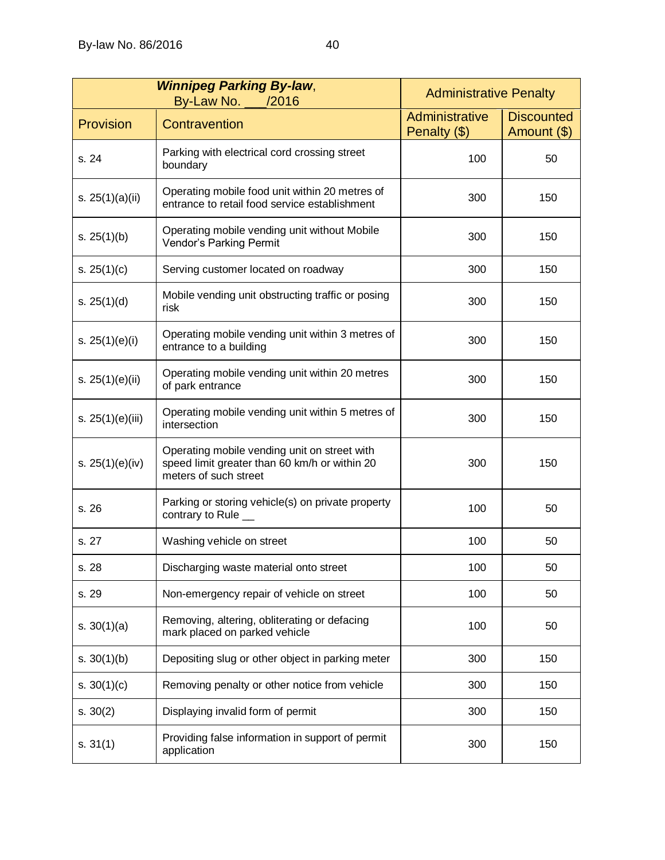| <b>Winnipeg Parking By-law,</b><br>By-Law No. ___/2016 |                                                                                                                        | <b>Administrative Penalty</b>  |                                  |
|--------------------------------------------------------|------------------------------------------------------------------------------------------------------------------------|--------------------------------|----------------------------------|
| Provision                                              | Contravention                                                                                                          | Administrative<br>Penalty (\$) | <b>Discounted</b><br>Amount (\$) |
| s. 24                                                  | Parking with electrical cord crossing street<br>boundary                                                               | 100                            | 50                               |
| s. $25(1)(a)(ii)$                                      | Operating mobile food unit within 20 metres of<br>entrance to retail food service establishment                        | 300                            | 150                              |
| s. $25(1)(b)$                                          | Operating mobile vending unit without Mobile<br>Vendor's Parking Permit                                                | 300                            | 150                              |
| s. $25(1)(c)$                                          | Serving customer located on roadway                                                                                    | 300                            | 150                              |
| s. $25(1)(d)$                                          | Mobile vending unit obstructing traffic or posing<br>risk                                                              | 300                            | 150                              |
| s. $25(1)(e)(i)$                                       | Operating mobile vending unit within 3 metres of<br>entrance to a building                                             | 300                            | 150                              |
| s. $25(1)(e)(ii)$                                      | Operating mobile vending unit within 20 metres<br>of park entrance                                                     | 300                            | 150                              |
| s. 25(1)(e)(iii)                                       | Operating mobile vending unit within 5 metres of<br>intersection                                                       | 300                            | 150                              |
| s. $25(1)(e)(iv)$                                      | Operating mobile vending unit on street with<br>speed limit greater than 60 km/h or within 20<br>meters of such street | 300                            | 150                              |
| s. 26                                                  | Parking or storing vehicle(s) on private property<br>contrary to Rule _                                                | 100                            | 50                               |
| s. 27                                                  | Washing vehicle on street                                                                                              | 100                            | 50                               |
| s. 28                                                  | Discharging waste material onto street                                                                                 | 100                            | 50                               |
| s. 29                                                  | Non-emergency repair of vehicle on street                                                                              | 100                            | 50                               |
| s. $30(1)(a)$                                          | Removing, altering, obliterating or defacing<br>mark placed on parked vehicle                                          | 100                            | 50                               |
| s. $30(1)(b)$                                          | Depositing slug or other object in parking meter                                                                       | 300                            | 150                              |
| s. $30(1)(c)$                                          | Removing penalty or other notice from vehicle                                                                          | 300                            | 150                              |
| s. $30(2)$                                             | Displaying invalid form of permit                                                                                      | 300                            | 150                              |
| s. 31(1)                                               | Providing false information in support of permit<br>application                                                        | 300                            | 150                              |